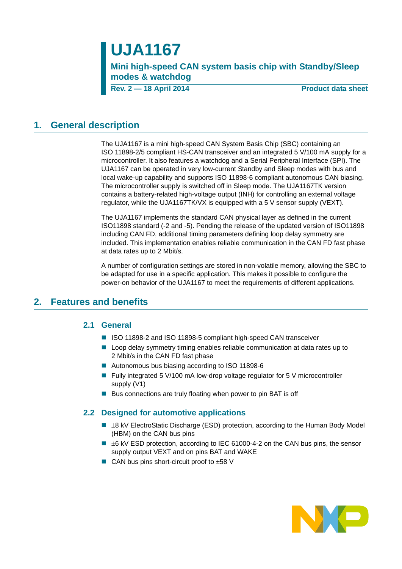# **UJA1167**

**Mini high-speed CAN system basis chip with Standby/Sleep modes & watchdog**

**Rev. 2 — 18 April 2014 Product data sheet**

### <span id="page-0-0"></span>**1. General description**

The UJA1167 is a mini high-speed CAN System Basis Chip (SBC) containing an ISO 11898-2/5 compliant HS-CAN transceiver and an integrated 5 V/100 mA supply for a microcontroller. It also features a watchdog and a Serial Peripheral Interface (SPI). The UJA1167 can be operated in very low-current Standby and Sleep modes with bus and local wake-up capability and supports ISO 11898-6 compliant autonomous CAN biasing. The microcontroller supply is switched off in Sleep mode. The UJA1167TK version contains a battery-related high-voltage output (INH) for controlling an external voltage regulator, while the UJA1167TK/VX is equipped with a 5 V sensor supply (VEXT).

The UJA1167 implements the standard CAN physical layer as defined in the current ISO11898 standard (-2 and -5). Pending the release of the updated version of ISO11898 including CAN FD, additional timing parameters defining loop delay symmetry are included. This implementation enables reliable communication in the CAN FD fast phase at data rates up to 2 Mbit/s.

A number of configuration settings are stored in non-volatile memory, allowing the SBC to be adapted for use in a specific application. This makes it possible to configure the power-on behavior of the UJA1167 to meet the requirements of different applications.

### <span id="page-0-2"></span><span id="page-0-1"></span>**2. Features and benefits**

#### **2.1 General**

- ISO 11898-2 and ISO 11898-5 compliant high-speed CAN transceiver
- **L** Loop delay symmetry timing enables reliable communication at data rates up to 2 Mbit/s in the CAN FD fast phase
- Autonomous bus biasing according to ISO 11898-6
- Fully integrated 5 V/100 mA low-drop voltage regulator for 5 V microcontroller supply (V1)
- $\blacksquare$  Bus connections are truly floating when power to pin BAT is off

#### <span id="page-0-3"></span>**2.2 Designed for automotive applications**

- $\blacksquare$   $\pm$ 8 kV ElectroStatic Discharge (ESD) protection, according to the Human Body Model (HBM) on the CAN bus pins
- $\blacksquare$   $\pm$ 6 kV ESD protection, according to IEC 61000-4-2 on the CAN bus pins, the sensor supply output VEXT and on pins BAT and WAKE
- CAN bus pins short-circuit proof to  $\pm 58$  V

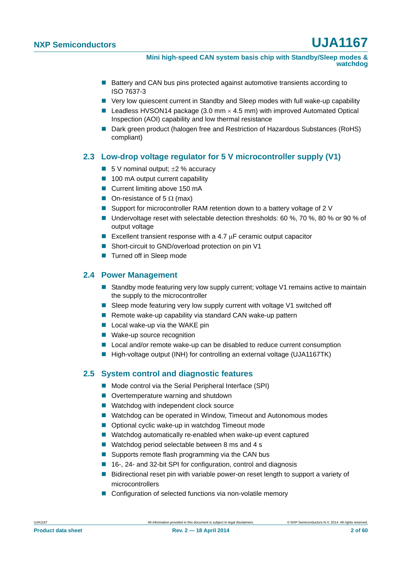**Mini high-speed CAN system basis chip with Standby/Sleep modes & watchdog**

- Battery and CAN bus pins protected against automotive transients according to ISO 7637-3
- Very low quiescent current in Standby and Sleep modes with full wake-up capability
- **Leadless HVSON14 package (3.0 mm**  $\times$  **4.5 mm) with improved Automated Optical** Inspection (AOI) capability and low thermal resistance
- Dark green product (halogen free and Restriction of Hazardous Substances (RoHS) compliant)

### <span id="page-1-0"></span>**2.3 Low-drop voltage regulator for 5 V microcontroller supply (V1)**

- 5 V nominal output:  $\pm$ 2 % accuracy
- 100 mA output current capability
- Current limiting above 150 mA
- On-resistance of 5  $\Omega$  (max)
- Support for microcontroller RAM retention down to a battery voltage of 2 V
- Undervoltage reset with selectable detection thresholds: 60 %, 70 %, 80 % or 90 % of output voltage
- Excellent transient response with a 4.7  $\mu$ F ceramic output capacitor
- Short-circuit to GND/overload protection on pin V1
- **Turned off in Sleep mode**

### <span id="page-1-1"></span>**2.4 Power Management**

- Standby mode featuring very low supply current; voltage V1 remains active to maintain the supply to the microcontroller
- Sleep mode featuring very low supply current with voltage V1 switched off
- Remote wake-up capability via standard CAN wake-up pattern
- $\blacksquare$  Local wake-up via the WAKE pin
- Wake-up source recognition
- Local and/or remote wake-up can be disabled to reduce current consumption
- High-voltage output (INH) for controlling an external voltage (UJA1167TK)

### <span id="page-1-2"></span>**2.5 System control and diagnostic features**

- Mode control via the Serial Peripheral Interface (SPI)
- Overtemperature warning and shutdown
- Watchdog with independent clock source
- Watchdog can be operated in Window, Timeout and Autonomous modes
- Optional cyclic wake-up in watchdog Timeout mode
- Watchdog automatically re-enabled when wake-up event captured
- Watchdog period selectable between 8 ms and 4 s
- Supports remote flash programming via the CAN bus
- 16-, 24- and 32-bit SPI for configuration, control and diagnosis
- **Bidirectional reset pin with variable power-on reset length to support a variety of** microcontrollers
- Configuration of selected functions via non-volatile memory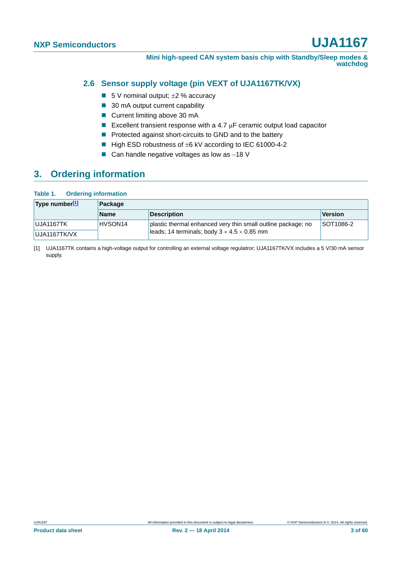**Mini high-speed CAN system basis chip with Standby/Sleep modes & watchdog**

### <span id="page-2-1"></span>**2.6 Sensor supply voltage (pin VEXT of UJA1167TK/VX)**

- 5 V nominal output;  $\pm 2$  % accuracy
- 30 mA output current capability
- Current limiting above 30 mA
- Excellent transient response with a 4.7  $\mu$ F ceramic output load capacitor
- **Protected against short-circuits to GND and to the battery**
- $\blacksquare$  High ESD robustness of  $\pm 6$  kV according to IEC 61000-4-2
- $\blacksquare$  Can handle negative voltages as low as -18 V

### <span id="page-2-2"></span>**3. Ordering information**

#### **Table 1. Ordering information**

| 'Type number[1] | Package             |                                                              |           |  |
|-----------------|---------------------|--------------------------------------------------------------|-----------|--|
|                 | <b>Name</b>         | <b>Description</b>                                           | Version   |  |
| UJA1167TK       | HVSON <sub>14</sub> | plastic thermal enhanced very thin small outline package; no | SOT1086-2 |  |
| UJA1167TK/VX    |                     | leads; 14 terminals; body $3 \times 4.5 \times 0.85$ mm      |           |  |

<span id="page-2-0"></span>[1] UJA1167TK contains a high-voltage output for controlling an external voltage regulatror; UJA1167TK/VX includes a 5 V/30 mA sensor supply.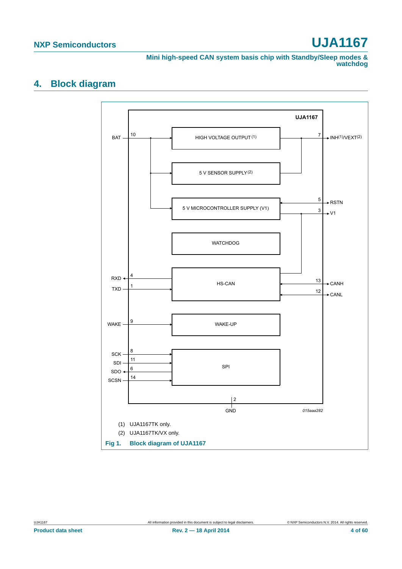**Mini high-speed CAN system basis chip with Standby/Sleep modes & watchdog**

### <span id="page-3-0"></span>**4. Block diagram**

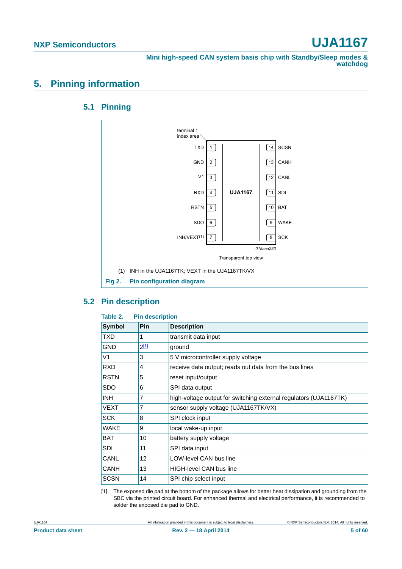**Mini high-speed CAN system basis chip with Standby/Sleep modes & watchdog**

### <span id="page-4-3"></span><span id="page-4-2"></span>**5. Pinning information**

### **5.1 Pinning**



### <span id="page-4-4"></span>**5.2 Pin description**

<span id="page-4-1"></span>

| Table 2.      | <b>Pin description</b> |                                                                   |  |  |  |  |
|---------------|------------------------|-------------------------------------------------------------------|--|--|--|--|
| <b>Symbol</b> | Pin                    | <b>Description</b>                                                |  |  |  |  |
| TXD           | 1                      | transmit data input                                               |  |  |  |  |
| GND           | $2^{[1]}$              | ground                                                            |  |  |  |  |
| V1            | 3                      | 5 V microcontroller supply voltage                                |  |  |  |  |
| <b>RXD</b>    | 4                      | receive data output; reads out data from the bus lines            |  |  |  |  |
| <b>RSTN</b>   | 5                      | reset input/output                                                |  |  |  |  |
| <b>SDO</b>    | 6                      | SPI data output                                                   |  |  |  |  |
| <b>INH</b>    | 7                      | high-voltage output for switching external regulators (UJA1167TK) |  |  |  |  |
| VEXT          | 7                      | sensor supply voltage (UJA1167TK/VX)                              |  |  |  |  |
| <b>SCK</b>    | 8                      | SPI clock input                                                   |  |  |  |  |
| WAKE          | 9                      | local wake-up input                                               |  |  |  |  |
| <b>BAT</b>    | 10                     | battery supply voltage                                            |  |  |  |  |
| <b>SDI</b>    | 11                     | SPI data input                                                    |  |  |  |  |
| CANL          | 12                     | <b>LOW-level CAN bus line</b>                                     |  |  |  |  |
| CANH          | 13                     | <b>HIGH-level CAN bus line</b>                                    |  |  |  |  |
| <b>SCSN</b>   | 14                     | SPI chip select input                                             |  |  |  |  |

<span id="page-4-0"></span>[1] The exposed die pad at the bottom of the package allows for better heat dissipation and grounding from the SBC via the printed circuit board. For enhanced thermal and electrical performance, it is recommended to solder the exposed die pad to GND.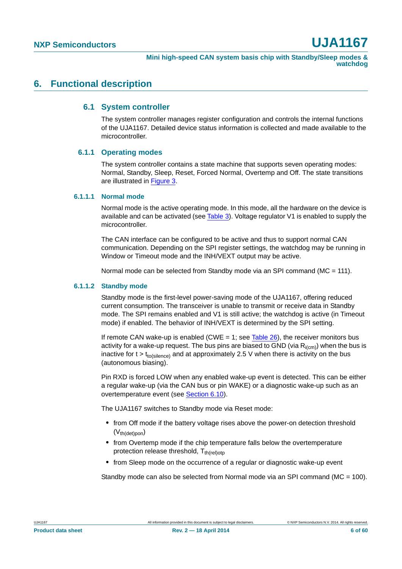### <span id="page-5-1"></span><span id="page-5-0"></span>**6. Functional description**

#### **6.1 System controller**

The system controller manages register configuration and controls the internal functions of the UJA1167. Detailed device status information is collected and made available to the microcontroller.

#### <span id="page-5-2"></span>**6.1.1 Operating modes**

The system controller contains a state machine that supports seven operating modes: Normal, Standby, Sleep, Reset, Forced Normal, Overtemp and Off. The state transitions are illustrated in [Figure 3](#page-6-0).

#### <span id="page-5-3"></span>**6.1.1.1 Normal mode**

Normal mode is the active operating mode. In this mode, all the hardware on the device is available and can be activated (see [Table 3](#page-9-0)). Voltage regulator V1 is enabled to supply the microcontroller.

The CAN interface can be configured to be active and thus to support normal CAN communication. Depending on the SPI register settings, the watchdog may be running in Window or Timeout mode and the INH/VEXT output may be active.

Normal mode can be selected from Standby mode via an SPI command (MC = 111).

#### <span id="page-5-4"></span>**6.1.1.2 Standby mode**

Standby mode is the first-level power-saving mode of the UJA1167, offering reduced current consumption. The transceiver is unable to transmit or receive data in Standby mode. The SPI remains enabled and V1 is still active; the watchdog is active (in Timeout mode) if enabled. The behavior of INH/VEXT is determined by the SPI setting.

If remote CAN wake-up is enabled (CWE  $= 1$ ; see [Table 26\)](#page-28-0), the receiver monitors bus activity for a wake-up request. The bus pins are biased to GND (via  $R_{i(cm)}$ ) when the bus is inactive for  $t > t_{to(silence)}$  and at approximately 2.5 V when there is activity on the bus (autonomous biasing).

Pin RXD is forced LOW when any enabled wake-up event is detected. This can be either a regular wake-up (via the CAN bus or pin WAKE) or a diagnostic wake-up such as an overtemperature event (see [Section 6.10](#page-24-0)).

The UJA1167 switches to Standby mode via Reset mode:

- **•** from Off mode if the battery voltage rises above the power-on detection threshold  $(V<sub>th</sub>(det)pon)$
- **•** from Overtemp mode if the chip temperature falls below the overtemperature protection release threshold,  $T_{th (rel)oto}$
- **•** from Sleep mode on the occurrence of a regular or diagnostic wake-up event

Standby mode can also be selected from Normal mode via an SPI command ( $MC = 100$ ).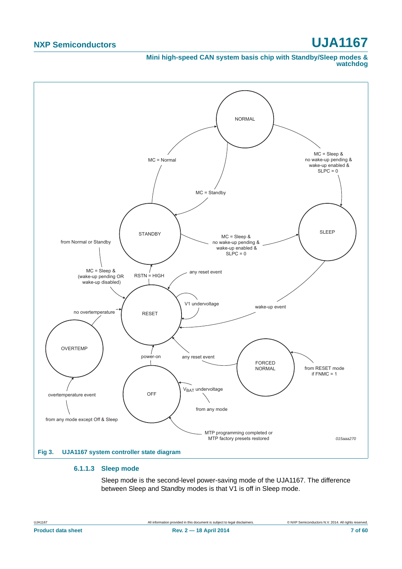#### **Mini high-speed CAN system basis chip with Standby/Sleep modes & watchdog**



#### <span id="page-6-1"></span><span id="page-6-0"></span>**6.1.1.3 Sleep mode**

Sleep mode is the second-level power-saving mode of the UJA1167. The difference between Sleep and Standby modes is that V1 is off in Sleep mode.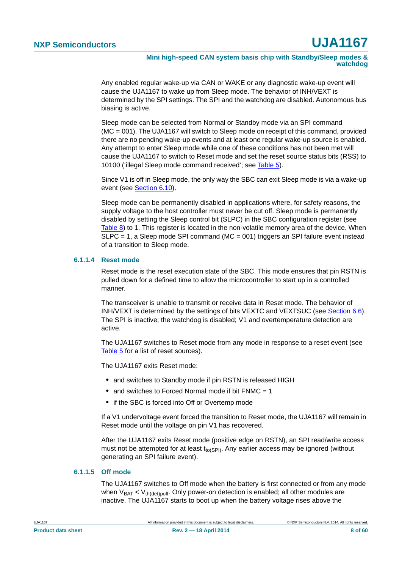**Mini high-speed CAN system basis chip with Standby/Sleep modes & watchdog**

Any enabled regular wake-up via CAN or WAKE or any diagnostic wake-up event will cause the UJA1167 to wake up from Sleep mode. The behavior of INH/VEXT is determined by the SPI settings. The SPI and the watchdog are disabled. Autonomous bus biasing is active.

Sleep mode can be selected from Normal or Standby mode via an SPI command (MC = 001). The UJA1167 will switch to Sleep mode on receipt of this command, provided there are no pending wake-up events and at least one regular wake-up source is enabled. Any attempt to enter Sleep mode while one of these conditions has not been met will cause the UJA1167 to switch to Reset mode and set the reset source status bits (RSS) to 10100 ('illegal Sleep mode command received'; see [Table 5\)](#page-10-0).

Since V1 is off in Sleep mode, the only way the SBC can exit Sleep mode is via a wake-up event (see [Section 6.10](#page-24-0)).

Sleep mode can be permanently disabled in applications where, for safety reasons, the supply voltage to the host controller must never be cut off. Sleep mode is permanently disabled by setting the Sleep control bit (SLPC) in the SBC configuration register (see [Table 8](#page-12-0)) to 1. This register is located in the non-volatile memory area of the device. When  $SLPC = 1$ , a Sleep mode SPI command (MC = 001) triggers an SPI failure event instead of a transition to Sleep mode.

#### <span id="page-7-0"></span>**6.1.1.4 Reset mode**

Reset mode is the reset execution state of the SBC. This mode ensures that pin RSTN is pulled down for a defined time to allow the microcontroller to start up in a controlled manner.

The transceiver is unable to transmit or receive data in Reset mode. The behavior of INH/VEXT is determined by the settings of bits VEXTC and VEXTSUC (see [Section 6.6](#page-17-0)). The SPI is inactive; the watchdog is disabled; V1 and overtemperature detection are active.

The UJA1167 switches to Reset mode from any mode in response to a reset event (see [Table 5](#page-10-0) for a list of reset sources).

The UJA1167 exits Reset mode:

- **•** and switches to Standby mode if pin RSTN is released HIGH
- and switches to Forced Normal mode if bit FNMC = 1
- **•** if the SBC is forced into Off or Overtemp mode

If a V1 undervoltage event forced the transition to Reset mode, the UJA1167 will remain in Reset mode until the voltage on pin V1 has recovered.

After the UJA1167 exits Reset mode (positive edge on RSTN), an SPI read/write access must not be attempted for at least  $t_{\text{to(SPI)}}$ . Any earlier access may be ignored (without generating an SPI failure event).

#### <span id="page-7-1"></span>**6.1.1.5 Off mode**

The UJA1167 switches to Off mode when the battery is first connected or from any mode when  $V_{BAT} < V_{th (det)$  off. Only power-on detection is enabled; all other modules are inactive. The UJA1167 starts to boot up when the battery voltage rises above the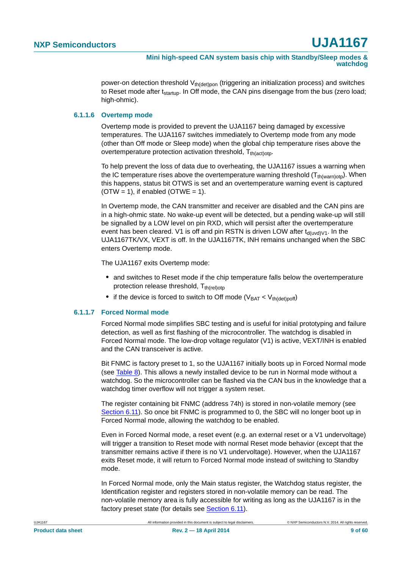power-on detection threshold  $V_{th(det)pon}$  (triggering an initialization process) and switches to Reset mode after  $t_{\text{startup}}$ . In Off mode, the CAN pins disengage from the bus (zero load; high-ohmic).

#### <span id="page-8-0"></span>**6.1.1.6 Overtemp mode**

Overtemp mode is provided to prevent the UJA1167 being damaged by excessive temperatures. The UJA1167 switches immediately to Overtemp mode from any mode (other than Off mode or Sleep mode) when the global chip temperature rises above the overtemperature protection activation threshold,  $T_{th(act)$ oto-

To help prevent the loss of data due to overheating, the UJA1167 issues a warning when the IC temperature rises above the overtemperature warning threshold  $(T_{th(warn)otp})$ . When this happens, status bit OTWS is set and an overtemperature warning event is captured  $(OTW = 1)$ , if enabled  $(OTWE = 1)$ .

In Overtemp mode, the CAN transmitter and receiver are disabled and the CAN pins are in a high-ohmic state. No wake-up event will be detected, but a pending wake-up will still be signalled by a LOW level on pin RXD, which will persist after the overtemperature event has been cleared. V1 is off and pin RSTN is driven LOW after  $t_{d(uvd)V1}$ . In the UJA1167TK/VX, VEXT is off. In the UJA1167TK, INH remains unchanged when the SBC enters Overtemp mode.

The UJA1167 exits Overtemp mode:

- **•** and switches to Reset mode if the chip temperature falls below the overtemperature protection release threshold,  $T_{th(rel)$ otp
- if the device is forced to switch to Off mode  $(V_{BAT} < V_{th (det)$ ooff)

#### <span id="page-8-1"></span>**6.1.1.7 Forced Normal mode**

Forced Normal mode simplifies SBC testing and is useful for initial prototyping and failure detection, as well as first flashing of the microcontroller. The watchdog is disabled in Forced Normal mode. The low-drop voltage regulator (V1) is active, VEXT/INH is enabled and the CAN transceiver is active.

Bit FNMC is factory preset to 1, so the UJA1167 initially boots up in Forced Normal mode (see [Table 8\)](#page-12-0). This allows a newly installed device to be run in Normal mode without a watchdog. So the microcontroller can be flashed via the CAN bus in the knowledge that a watchdog timer overflow will not trigger a system reset.

The register containing bit FNMC (address 74h) is stored in non-volatile memory (see [Section 6.11\)](#page-28-1). So once bit FNMC is programmed to 0, the SBC will no longer boot up in Forced Normal mode, allowing the watchdog to be enabled.

Even in Forced Normal mode, a reset event (e.g. an external reset or a V1 undervoltage) will trigger a transition to Reset mode with normal Reset mode behavior (except that the transmitter remains active if there is no V1 undervoltage). However, when the UJA1167 exits Reset mode, it will return to Forced Normal mode instead of switching to Standby mode.

In Forced Normal mode, only the Main status register, the Watchdog status register, the Identification register and registers stored in non-volatile memory can be read. The non-volatile memory area is fully accessible for writing as long as the UJA1167 is in the factory preset state (for details see [Section 6.11\)](#page-28-1).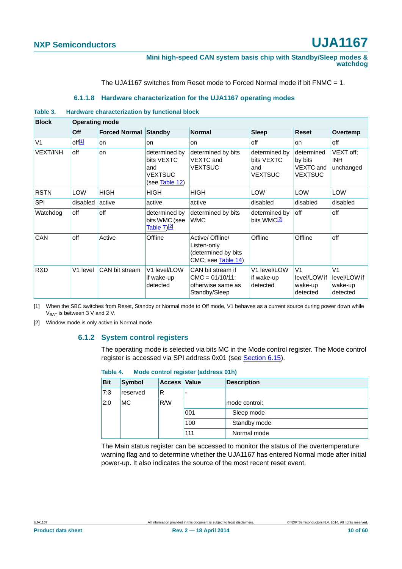**Mini high-speed CAN system basis chip with Standby/Sleep modes & watchdog**

The UJA1167 switches from Reset mode to Forced Normal mode if bit FNMC = 1.

#### **6.1.1.8 Hardware characterization for the UJA1167 operating modes**

#### <span id="page-9-3"></span><span id="page-9-0"></span>**Table 3. Hardware characterization by functional block**

| <b>Block</b>    | <b>Operating mode</b> |                      |                                                                        |                                                                               |                                                      |                                                       |                                                       |  |  |  |
|-----------------|-----------------------|----------------------|------------------------------------------------------------------------|-------------------------------------------------------------------------------|------------------------------------------------------|-------------------------------------------------------|-------------------------------------------------------|--|--|--|
|                 | Off                   | <b>Forced Normal</b> | Standby                                                                | <b>Normal</b>                                                                 | <b>Sleep</b>                                         | <b>Reset</b>                                          | Overtemp                                              |  |  |  |
| V <sub>1</sub>  | off[1]                | on                   | on                                                                     | on.                                                                           | off                                                  | on                                                    | off                                                   |  |  |  |
| <b>VEXT/INH</b> | off                   | on                   | determined by<br>bits VEXTC<br>and<br><b>VEXTSUC</b><br>(see Table 12) | determined by bits<br><b>VEXTC</b> and<br><b>VEXTSUC</b>                      | determined by<br>bits VEXTC<br>and<br><b>VEXTSUC</b> | determined<br>by bits<br>VEXTC and<br><b>VEXTSUC</b>  | VEXT off;<br><b>INH</b><br>unchanged                  |  |  |  |
| <b>RSTN</b>     | LOW                   | <b>HIGH</b>          | <b>HIGH</b>                                                            | <b>HIGH</b>                                                                   | <b>LOW</b>                                           | <b>LOW</b>                                            | LOW                                                   |  |  |  |
| SPI             | disabled              | active               | active                                                                 | active                                                                        | disabled                                             | disabled                                              | disabled                                              |  |  |  |
| Watchdog        | off                   | off                  | determined by<br>bits WMC (see<br>Table $7)$ <sup>[2]</sup>            | determined by bits<br><b>WMC</b>                                              | determined by<br>bits WMC <sup>[2]</sup>             | off                                                   | off                                                   |  |  |  |
| CAN             | off                   | Active               | Offline                                                                | Active/ Offline/<br>Listen-only<br>(determined by bits<br>CMC; see Table 14)  | Offline                                              | Offline                                               | off                                                   |  |  |  |
| <b>RXD</b>      | V1 level              | CAN bit stream       | V1 level/LOW<br>if wake-up<br>detected                                 | CAN bit stream if<br>$CMC = 01/10/11$ ;<br>otherwise same as<br>Standby/Sleep | V1 level/LOW<br>if wake-up<br>detected               | V <sub>1</sub><br>level/LOW if<br>wake-up<br>detected | V <sub>1</sub><br>level/LOW if<br>wake-up<br>detected |  |  |  |

<span id="page-9-1"></span>[1] When the SBC switches from Reset, Standby or Normal mode to Off mode, V1 behaves as a current source during power down while  $V_{BAT}$  is between 3 V and 2 V.

<span id="page-9-4"></span><span id="page-9-2"></span>[2] Window mode is only active in Normal mode.

#### **6.1.2 System control registers**

The operating mode is selected via bits MC in the Mode control register. The Mode control register is accessed via SPI address 0x01 (see [Section 6.15](#page-32-0)).

**Table 4. Mode control register (address 01h)**

| <b>Bit</b> | <b>Symbol</b> | Access Value |     | <b>Description</b> |
|------------|---------------|--------------|-----|--------------------|
| 7:3        | reserved      | R            |     |                    |
| 2:0        | <b>MC</b>     | R/W          |     | mode control:      |
|            |               |              | 001 | Sleep mode         |
|            |               |              | 100 | Standby mode       |
|            |               |              | 111 | Normal mode        |

The Main status register can be accessed to monitor the status of the overtemperature warning flag and to determine whether the UJA1167 has entered Normal mode after initial power-up. It also indicates the source of the most recent reset event.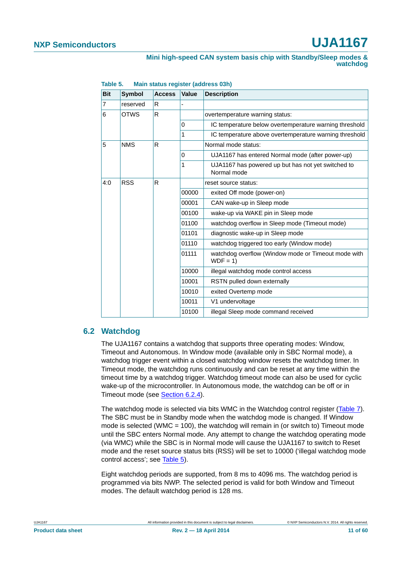| <b>Bit</b>       | <b>Symbol</b> | <b>Access</b> | Value    | <b>Description</b>                                                |
|------------------|---------------|---------------|----------|-------------------------------------------------------------------|
| 7                | reserved      | R             |          |                                                                   |
| <b>OTWS</b><br>6 |               | R             |          | overtemperature warning status:                                   |
|                  |               |               | $\Omega$ | IC temperature below overtemperature warning threshold            |
|                  |               |               | 1        | IC temperature above overtemperature warning threshold            |
| 5                | <b>NMS</b>    | R             |          | Normal mode status:                                               |
|                  |               |               | $\Omega$ | UJA1167 has entered Normal mode (after power-up)                  |
|                  |               |               | 1        | UJA1167 has powered up but has not yet switched to<br>Normal mode |
| 4:0              | <b>RSS</b>    | R             |          | reset source status:                                              |
|                  |               |               | 00000    | exited Off mode (power-on)                                        |
|                  |               |               | 00001    | CAN wake-up in Sleep mode                                         |
|                  |               |               | 00100    | wake-up via WAKE pin in Sleep mode                                |
|                  |               |               | 01100    | watchdog overflow in Sleep mode (Timeout mode)                    |
|                  |               |               | 01101    | diagnostic wake-up in Sleep mode                                  |
|                  |               |               | 01110    | watchdog triggered too early (Window mode)                        |
|                  |               |               | 01111    | watchdog overflow (Window mode or Timeout mode with<br>$WDF = 1$  |
|                  |               |               | 10000    | illegal watchdog mode control access                              |
|                  |               |               | 10001    | RSTN pulled down externally                                       |
|                  |               |               | 10010    | exited Overtemp mode                                              |
|                  |               |               | 10011    | V1 undervoltage                                                   |
|                  |               |               | 10100    | illegal Sleep mode command received                               |

#### <span id="page-10-0"></span>**Table 5. Main status register (address 03h)**

### <span id="page-10-1"></span>**6.2 Watchdog**

The UJA1167 contains a watchdog that supports three operating modes: Window, Timeout and Autonomous. In Window mode (available only in SBC Normal mode), a watchdog trigger event within a closed watchdog window resets the watchdog timer. In Timeout mode, the watchdog runs continuously and can be reset at any time within the timeout time by a watchdog trigger. Watchdog timeout mode can also be used for cyclic wake-up of the microcontroller. In Autonomous mode, the watchdog can be off or in Timeout mode (see [Section 6.2.4\)](#page-14-0).

The watchdog mode is selected via bits WMC in the Watchdog control register ([Table 7\)](#page-11-0). The SBC must be in Standby mode when the watchdog mode is changed. If Window mode is selected (WMC = 100), the watchdog will remain in (or switch to) Timeout mode until the SBC enters Normal mode. Any attempt to change the watchdog operating mode (via WMC) while the SBC is in Normal mode will cause the UJA1167 to switch to Reset mode and the reset source status bits (RSS) will be set to 10000 ('illegal watchdog mode control access'; see [Table 5\)](#page-10-0).

Eight watchdog periods are supported, from 8 ms to 4096 ms. The watchdog period is programmed via bits NWP. The selected period is valid for both Window and Timeout modes. The default watchdog period is 128 ms.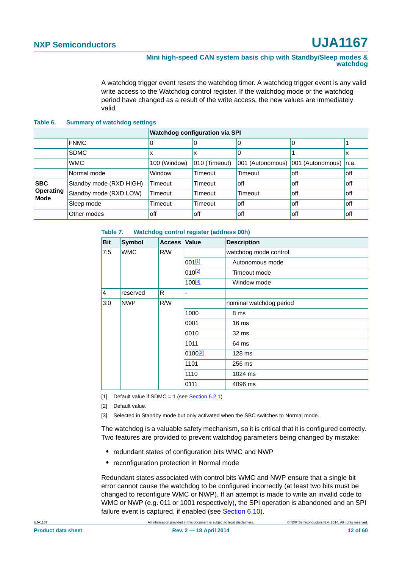#### **Mini high-speed CAN system basis chip with Standby/Sleep modes & watchdog**

A watchdog trigger event resets the watchdog timer. A watchdog trigger event is any valid write access to the Watchdog control register. If the watchdog mode or the watchdog period have changed as a result of the write access, the new values are immediately valid.

#### **Table 6. Summary of watchdog settings**

|                                 |                         |              | <b>Watchdog configuration via SPI</b> |                  |                         |       |
|---------------------------------|-------------------------|--------------|---------------------------------------|------------------|-------------------------|-------|
|                                 | <b>FNMC</b>             | 0            |                                       | 0                | 0                       |       |
|                                 | SDMC                    | x            | х                                     | 0                |                         | л     |
|                                 | <b>WMC</b>              | 100 (Window) | 010 (Timeout)                         | 001 (Autonomous) | 001 (Autonomous)   n.a. |       |
|                                 | Normal mode             | Window       | Timeout                               | Timeout          | off                     | off   |
| <b>SBC</b>                      | Standby mode (RXD HIGH) | Timeout      | Timeout                               | off              | off                     | loff  |
| <b>Operating</b><br><b>Mode</b> | Standby mode (RXD LOW)  | Timeout      | Timeout                               | Timeout          | off                     | loff  |
|                                 | Sleep mode              | Timeout      | Timeout                               | off              | off                     | l off |
|                                 | Other modes             | off          | off                                   | off              | off                     | off   |

#### <span id="page-11-0"></span>**Table 7. Watchdog control register (address 00h)**

| <b>Bit</b> | <b>Symbol</b> | <b>Access</b> | <b>Value</b>        | <b>Description</b>      |
|------------|---------------|---------------|---------------------|-------------------------|
| 7:5        | <b>WMC</b>    | R/W           |                     | watchdog mode control:  |
|            |               | 001[1]        | Autonomous mode     |                         |
|            |               | $010^{[2]}$   | Timeout mode        |                         |
|            |               |               | 100 <sup>[3]</sup>  | Window mode             |
| $\vert$ 4  | reserved      | R             |                     |                         |
| 3:0        | <b>NWP</b>    | R/W           |                     | nominal watchdog period |
|            |               |               | 1000                | 8 ms                    |
|            |               |               | 0001                | 16 <sub>ms</sub>        |
|            |               |               | 0010                | 32 ms                   |
|            |               |               | 1011                | 64 ms                   |
|            |               |               | 0100 <sup>[2]</sup> | 128 ms                  |
|            |               |               | 1101                | 256 ms                  |
|            |               |               | 1110                | 1024 ms                 |
|            |               |               | 0111                | 4096 ms                 |

<span id="page-11-1"></span>[1] Default value if SDMC = 1 (see [Section 6.2.1](#page-13-0))

<span id="page-11-2"></span>[2] Default value.

<span id="page-11-3"></span>[3] Selected in Standby mode but only activated when the SBC switches to Normal mode.

The watchdog is a valuable safety mechanism, so it is critical that it is configured correctly. Two features are provided to prevent watchdog parameters being changed by mistake:

- **•** redundant states of configuration bits WMC and NWP
- **•** reconfiguration protection in Normal mode

Redundant states associated with control bits WMC and NWP ensure that a single bit error cannot cause the watchdog to be configured incorrectly (at least two bits must be changed to reconfigure WMC or NWP). If an attempt is made to write an invalid code to WMC or NWP (e.g. 011 or 1001 respectively), the SPI operation is abandoned and an SPI failure event is captured, if enabled (see [Section 6.10\)](#page-24-0).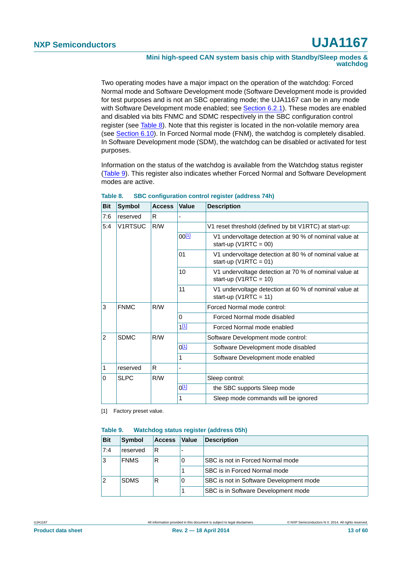#### **Mini high-speed CAN system basis chip with Standby/Sleep modes & watchdog**

Two operating modes have a major impact on the operation of the watchdog: Forced Normal mode and Software Development mode (Software Development mode is provided for test purposes and is not an SBC operating mode; the UJA1167 can be in any mode with Software Development mode enabled; see [Section 6.2.1\)](#page-13-0). These modes are enabled and disabled via bits FNMC and SDMC respectively in the SBC configuration control register (see [Table 8\)](#page-12-0). Note that this register is located in the non-volatile memory area (see [Section 6.10\)](#page-24-0). In Forced Normal mode (FNM), the watchdog is completely disabled. In Software Development mode (SDM), the watchdog can be disabled or activated for test purposes.

Information on the status of the watchdog is available from the Watchdog status register [\(Table 9\)](#page-12-1). This register also indicates whether Forced Normal and Software Development modes are active.

| <b>Bit</b> | <b>Symbol</b>  | <b>Access</b> | Value      | <b>Description</b>                                                                 |
|------------|----------------|---------------|------------|------------------------------------------------------------------------------------|
| 7:6        | reserved       | R.            |            |                                                                                    |
| 5:4        | <b>V1RTSUC</b> | R/W           |            | V1 reset threshold (defined by bit V1RTC) at start-up:                             |
|            |                |               | $00^{[1]}$ | V1 undervoltage detection at 90 % of nominal value at<br>start-up ( $V1RTC = 00$ ) |
|            |                |               | 01         | V1 undervoltage detection at 80 % of nominal value at<br>start-up ( $V1RTC = 01$ ) |
|            |                |               | 10         | V1 undervoltage detection at 70 % of nominal value at<br>start-up ( $V1RTC = 10$ ) |
|            |                |               | 11         | V1 undervoltage detection at 60 % of nominal value at<br>start-up ( $V1RTC = 11$ ) |
| 3          | <b>FNMC</b>    | R/W           |            | Forced Normal mode control:                                                        |
|            |                |               | 0          | Forced Normal mode disabled                                                        |
|            |                |               | $1^{[1]}$  | Forced Normal mode enabled                                                         |
| 2          | <b>SDMC</b>    | R/W           |            | Software Development mode control:                                                 |
|            |                |               | $0^{[1]}$  | Software Development mode disabled                                                 |
|            |                |               | 1          | Software Development mode enabled                                                  |
| 1          | reserved       | R             |            |                                                                                    |
| $\Omega$   | <b>SLPC</b>    | R/W           |            | Sleep control:                                                                     |
|            |                |               | $0^{[1]}$  | the SBC supports Sleep mode                                                        |
|            |                |               | 1          | Sleep mode commands will be ignored                                                |

<span id="page-12-0"></span>

| Table 8. | <b>SBC configuration control register (address 74h)</b> |  |  |
|----------|---------------------------------------------------------|--|--|
|          |                                                         |  |  |

<span id="page-12-2"></span>[1] Factory preset value.

#### <span id="page-12-1"></span>**Table 9. Watchdog status register (address 05h)**

| <b>Bit</b>     | <b>Symbol</b> | <b>Access</b> | Value | Description                             |
|----------------|---------------|---------------|-------|-----------------------------------------|
| 7:4            | reserved      | R             |       |                                         |
| Ι3             | <b>FNMS</b>   | R             | 0     | SBC is not in Forced Normal mode        |
|                |               |               |       | SBC is in Forced Normal mode            |
| $\overline{2}$ | <b>SDMS</b>   | R             | 0     | SBC is not in Software Development mode |
|                |               |               |       | SBC is in Software Development mode     |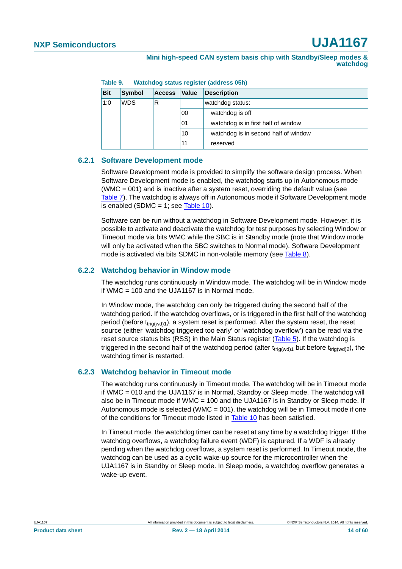| <b>Bit</b> | Symbol     | <b>Access</b> | Value | <b>Description</b>                   |
|------------|------------|---------------|-------|--------------------------------------|
| 1:0        | <b>WDS</b> | R             |       | watchdog status:                     |
|            |            |               | 00    | watchdog is off                      |
|            |            |               | 01    | watchdog is in first half of window  |
|            |            |               | 10    | watchdog is in second half of window |
|            |            |               | 11    | reserved                             |

**Table 9. Watchdog status register (address 05h)**

#### <span id="page-13-0"></span>**6.2.1 Software Development mode**

Software Development mode is provided to simplify the software design process. When Software Development mode is enabled, the watchdog starts up in Autonomous mode (WMC = 001) and is inactive after a system reset, overriding the default value (see [Table 7](#page-11-0)). The watchdog is always off in Autonomous mode if Software Development mode is enabled (SDMC = 1; see [Table 10](#page-14-1)).

Software can be run without a watchdog in Software Development mode. However, it is possible to activate and deactivate the watchdog for test purposes by selecting Window or Timeout mode via bits WMC while the SBC is in Standby mode (note that Window mode will only be activated when the SBC switches to Normal mode). Software Development mode is activated via bits SDMC in non-volatile memory (see [Table 8](#page-12-0)).

#### <span id="page-13-1"></span>**6.2.2 Watchdog behavior in Window mode**

The watchdog runs continuously in Window mode. The watchdog will be in Window mode if WMC = 100 and the UJA1167 is in Normal mode.

In Window mode, the watchdog can only be triggered during the second half of the watchdog period. If the watchdog overflows, or is triggered in the first half of the watchdog period (before  $t_{triq(wd)1}$ ), a system reset is performed. After the system reset, the reset source (either 'watchdog triggered too early' or 'watchdog overflow') can be read via the reset source status bits (RSS) in the Main Status register ([Table 5](#page-10-0)). If the watchdog is triggered in the second half of the watchdog period (after  $t_{triq(wd)1}$  but before  $t_{triq(wd)2}$ ), the watchdog timer is restarted.

#### <span id="page-13-2"></span>**6.2.3 Watchdog behavior in Timeout mode**

The watchdog runs continuously in Timeout mode. The watchdog will be in Timeout mode if WMC = 010 and the UJA1167 is in Normal, Standby or Sleep mode. The watchdog will also be in Timeout mode if WMC = 100 and the UJA1167 is in Standby or Sleep mode. If Autonomous mode is selected (WMC =  $001$ ), the watchdog will be in Timeout mode if one of the conditions for Timeout mode listed in [Table 10](#page-14-1) has been satisfied.

In Timeout mode, the watchdog timer can be reset at any time by a watchdog trigger. If the watchdog overflows, a watchdog failure event (WDF) is captured. If a WDF is already pending when the watchdog overflows, a system reset is performed. In Timeout mode, the watchdog can be used as a cyclic wake-up source for the microcontroller when the UJA1167 is in Standby or Sleep mode. In Sleep mode, a watchdog overflow generates a wake-up event.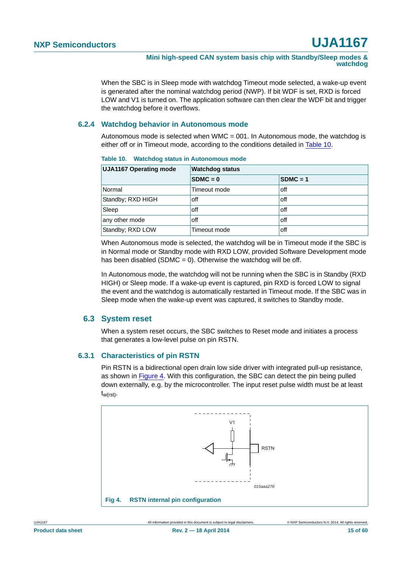When the SBC is in Sleep mode with watchdog Timeout mode selected, a wake-up event is generated after the nominal watchdog period (NWP). If bit WDF is set, RXD is forced LOW and V1 is turned on. The application software can then clear the WDF bit and trigger the watchdog before it overflows.

#### <span id="page-14-0"></span>**6.2.4 Watchdog behavior in Autonomous mode**

Autonomous mode is selected when WMC = 001. In Autonomous mode, the watchdog is either off or in Timeout mode, according to the conditions detailed in [Table 10](#page-14-1).

| <b>UJA1167 Operating mode</b> | <b>Watchdog status</b> |            |  |  |
|-------------------------------|------------------------|------------|--|--|
|                               | $SDMC = 0$             | $SDMC = 1$ |  |  |
| Normal                        | Timeout mode           | off        |  |  |
| Standby; RXD HIGH             | off                    | off        |  |  |
| Sleep                         | off                    | off        |  |  |
| any other mode                | off                    | off        |  |  |
| Standby; RXD LOW              | Timeout mode           | off        |  |  |

<span id="page-14-1"></span>**Table 10. Watchdog status in Autonomous mode**

When Autonomous mode is selected, the watchdog will be in Timeout mode if the SBC is in Normal mode or Standby mode with RXD LOW, provided Software Development mode has been disabled (SDMC = 0). Otherwise the watchdog will be off.

In Autonomous mode, the watchdog will not be running when the SBC is in Standby (RXD HIGH) or Sleep mode. If a wake-up event is captured, pin RXD is forced LOW to signal the event and the watchdog is automatically restarted in Timeout mode. If the SBC was in Sleep mode when the wake-up event was captured, it switches to Standby mode.

#### <span id="page-14-4"></span>**6.3 System reset**

When a system reset occurs, the SBC switches to Reset mode and initiates a process that generates a low-level pulse on pin RSTN.

#### <span id="page-14-3"></span>**6.3.1 Characteristics of pin RSTN**

Pin RSTN is a bidirectional open drain low side driver with integrated pull-up resistance, as shown in [Figure 4](#page-14-2). With this configuration, the SBC can detect the pin being pulled down externally, e.g. by the microcontroller. The input reset pulse width must be at least  $t_{w(rst)}$ .

<span id="page-14-2"></span>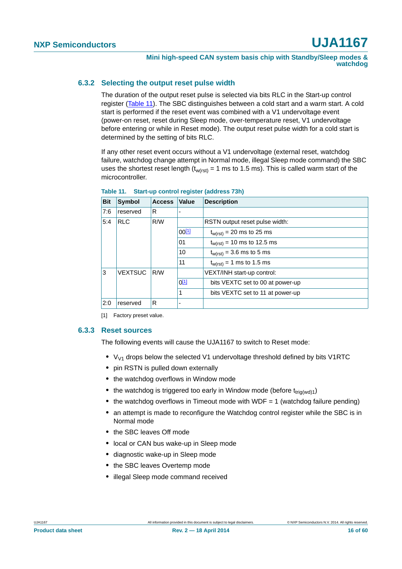#### <span id="page-15-2"></span>**6.3.2 Selecting the output reset pulse width**

The duration of the output reset pulse is selected via bits RLC in the Start-up control register ([Table 11\)](#page-15-1). The SBC distinguishes between a cold start and a warm start. A cold start is performed if the reset event was combined with a V1 undervoltage event (power-on reset, reset during Sleep mode, over-temperature reset, V1 undervoltage before entering or while in Reset mode). The output reset pulse width for a cold start is determined by the setting of bits RLC.

If any other reset event occurs without a V1 undervoltage (external reset, watchdog failure, watchdog change attempt in Normal mode, illegal Sleep mode command) the SBC uses the shortest reset length ( $t_{w(rst)} = 1$  ms to 1.5 ms). This is called warm start of the microcontroller.

| <b>Bit</b> | <b>Symbol</b>  | <b>Access</b> | <b>Value</b>      | <b>Description</b>               |
|------------|----------------|---------------|-------------------|----------------------------------|
| 7:6        | reserved       | R             |                   |                                  |
| 5:4        | <b>RLC</b>     | R/W           |                   | RSTN output reset pulse width:   |
|            |                |               | 00 <sup>[1]</sup> | $t_{w(rst)}$ = 20 ms to 25 ms    |
|            |                |               | 01                | $t_{w(rst)} = 10$ ms to 12.5 ms  |
|            |                |               | 10                | $t_{w(rst)} = 3.6$ ms to 5 ms    |
|            |                |               | 11                | $t_{w(rst)} = 1$ ms to 1.5 ms    |
| 3          | <b>VEXTSUC</b> | R/W           |                   | VEXT/INH start-up control:       |
|            |                |               | $0^{[1]}$         | bits VEXTC set to 00 at power-up |
|            |                |               | 1                 | bits VEXTC set to 11 at power-up |
| 2:0        | reserved       | R             |                   |                                  |

<span id="page-15-1"></span>**Table 11. Start-up control register (address 73h)**

<span id="page-15-0"></span>[1] Factory preset value.

#### <span id="page-15-3"></span>**6.3.3 Reset sources**

The following events will cause the UJA1167 to switch to Reset mode:

- V<sub>V1</sub> drops below the selected V1 undervoltage threshold defined by bits V1RTC
- **•** pin RSTN is pulled down externally
- **•** the watchdog overflows in Window mode
- the watchdog is triggered too early in Window mode (before t<sub>trig(wd)1</sub>)
- the watchdog overflows in Timeout mode with WDF = 1 (watchdog failure pending)
- **•** an attempt is made to reconfigure the Watchdog control register while the SBC is in Normal mode
- **•** the SBC leaves Off mode
- **•** local or CAN bus wake-up in Sleep mode
- **•** diagnostic wake-up in Sleep mode
- **•** the SBC leaves Overtemp mode
- **•** illegal Sleep mode command received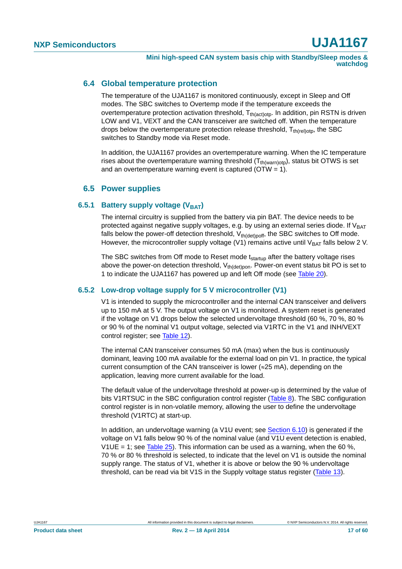#### <span id="page-16-0"></span>**6.4 Global temperature protection**

The temperature of the UJA1167 is monitored continuously, except in Sleep and Off modes. The SBC switches to Overtemp mode if the temperature exceeds the overtemperature protection activation threshold,  $T_{th (act)otp}$ . In addition, pin RSTN is driven LOW and V1, VEXT and the CAN transceiver are switched off. When the temperature drops below the overtemperature protection release threshold,  $T_{th(reil)oto}$ , the SBC switches to Standby mode via Reset mode.

In addition, the UJA1167 provides an overtemperature warning. When the IC temperature rises about the overtemperature warning threshold  $(T_{th(warn)orb})$ , status bit OTWS is set and an overtemperature warning event is captured ( $OTW = 1$ ).

### **6.5 Power supplies**

#### <span id="page-16-2"></span><span id="page-16-1"></span>**6.5.1 Battery supply voltage (VBAT)**

The internal circuitry is supplied from the battery via pin BAT. The device needs to be protected against negative supply voltages, e.g. by using an external series diode. If  $V_{BAT}$ falls below the power-off detection threshold,  $V_{th (det)$  the SBC switches to Off mode. However, the microcontroller supply voltage (V1) remains active until  $V_{\text{BAT}}$  falls below 2 V.

The SBC switches from Off mode to Reset mode  $t_{\text{startup}}$  after the battery voltage rises above the power-on detection threshold,  $V_{th(det)pon}$ . Power-on event status bit PO is set to 1 to indicate the UJA1167 has powered up and left Off mode (see [Table 20\)](#page-26-0).

#### <span id="page-16-3"></span>**6.5.2 Low-drop voltage supply for 5 V microcontroller (V1)**

V1 is intended to supply the microcontroller and the internal CAN transceiver and delivers up to 150 mA at 5 V. The output voltage on V1 is monitored. A system reset is generated if the voltage on V1 drops below the selected undervoltage threshold (60 %, 70 %, 80 % or 90 % of the nominal V1 output voltage, selected via V1RTC in the V1 and INH/VEXT control register; see [Table 12](#page-17-1)).

The internal CAN transceiver consumes 50 mA (max) when the bus is continuously dominant, leaving 100 mA available for the external load on pin V1. In practice, the typical current consumption of the CAN transceiver is lower ( $\approx$ 25 mA), depending on the application, leaving more current available for the load.

The default value of the undervoltage threshold at power-up is determined by the value of bits V1RTSUC in the SBC configuration control register [\(Table 8\)](#page-12-0). The SBC configuration control register is in non-volatile memory, allowing the user to define the undervoltage threshold (V1RTC) at start-up.

In addition, an undervoltage warning (a V1U event; see [Section 6.10](#page-24-0)) is generated if the voltage on V1 falls below 90 % of the nominal value (and V1U event detection is enabled, V1UE = 1; see [Table 25](#page-28-2)). This information can be used as a warning, when the 60 %, 70 % or 80 % threshold is selected, to indicate that the level on V1 is outside the nominal supply range. The status of V1, whether it is above or below the 90 % undervoltage threshold, can be read via bit V1S in the Supply voltage status register [\(Table 13\)](#page-17-2).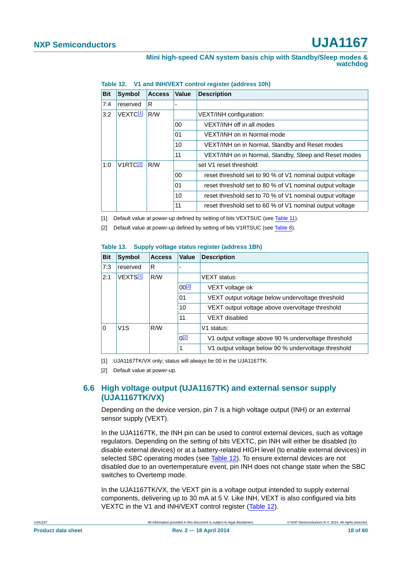#### **Mini high-speed CAN system basis chip with Standby/Sleep modes & watchdog**

| <b>Bit</b> | <b>Symbol</b>        | <b>Access</b> | Value  | <b>Description</b>                                       |  |
|------------|----------------------|---------------|--------|----------------------------------------------------------|--|
| 7:4        | reserved             | R             |        |                                                          |  |
| 3:2        | VEXTC <sup>[1]</sup> | R/W           |        | VEXT/INH configuration:                                  |  |
|            |                      |               | $00\,$ | VEXT/INH off in all modes                                |  |
|            |                      |               | 01     | VEXT/INH on in Normal mode                               |  |
|            |                      |               | 10     | VEXT/INH on in Normal, Standby and Reset modes           |  |
|            |                      |               | 11     | VEXT/INH on in Normal, Standby, Sleep and Reset modes    |  |
| 1:0        | V1RTC <sup>[2]</sup> | R/W           |        | set V1 reset threshold:                                  |  |
|            |                      |               | 00     | reset threshold set to 90 % of V1 nominal output voltage |  |
|            |                      |               | 01     | reset threshold set to 80 % of V1 nominal output voltage |  |
|            |                      |               | 10     | reset threshold set to 70 % of V1 nominal output voltage |  |
|            |                      |               | 11     | reset threshold set to 60 % of V1 nominal output voltage |  |

<span id="page-17-1"></span>**Table 12. V1 and INH/VEXT control register (address 10h)**

<span id="page-17-3"></span>[1] Default value at power-up defined by setting of bits VEXTSUC (see [Table 11](#page-15-1)).

<span id="page-17-4"></span>[2] Default value at power-up defined by setting of bits V1RTSUC (see [Table 8\)](#page-12-0).

#### <span id="page-17-2"></span>**Table 13. Supply voltage status register (address 1Bh)**

| <b>Bit</b> | <b>Symbol</b>        | <b>Access</b> | Value                                            | <b>Description</b>                                  |
|------------|----------------------|---------------|--------------------------------------------------|-----------------------------------------------------|
| 7:3        | reserved             | R             |                                                  |                                                     |
| 2:1        | VEXTS <sup>[1]</sup> | R/W           |                                                  | <b>VEXT</b> status:                                 |
|            |                      |               | $00^{[2]}$                                       | VEXT voltage ok                                     |
|            |                      | 01            | VEXT output voltage below undervoltage threshold |                                                     |
|            |                      |               | 10                                               | VEXT output voltage above overvoltage threshold     |
|            |                      |               | 11                                               | VEXT disabled                                       |
| $\Omega$   | V1S                  | R/W           |                                                  | V1 status:                                          |
|            |                      |               | $0^{[2]}$                                        | V1 output voltage above 90 % undervoltage threshold |
|            |                      |               |                                                  | V1 output voltage below 90 % undervoltage threshold |

<span id="page-17-5"></span>[1] UJA1167TK/VX only; status will always be 00 in the UJA1167TK.

<span id="page-17-6"></span>[2] Default value at power-up.

### <span id="page-17-0"></span>**6.6 High voltage output (UJA1167TK) and external sensor supply (UJA1167TK/VX)**

Depending on the device version, pin 7 is a high voltage output (INH) or an external sensor supply (VEXT).

In the UJA1167TK, the INH pin can be used to control external devices, such as voltage regulators. Depending on the setting of bits VEXTC, pin INH will either be disabled (to disable external devices) or at a battery-related HIGH level (to enable external devices) in selected SBC operating modes (see [Table 12\)](#page-17-1). To ensure external devices are not disabled due to an overtemperature event, pin INH does not change state when the SBC switches to Overtemp mode.

In the UJA1167TK/VX, the VEXT pin is a voltage output intended to supply external components, delivering up to 30 mA at 5 V. Like INH, VEXT is also configured via bits VEXTC in the V1 and INH/VEXT control register ([Table 12\)](#page-17-1).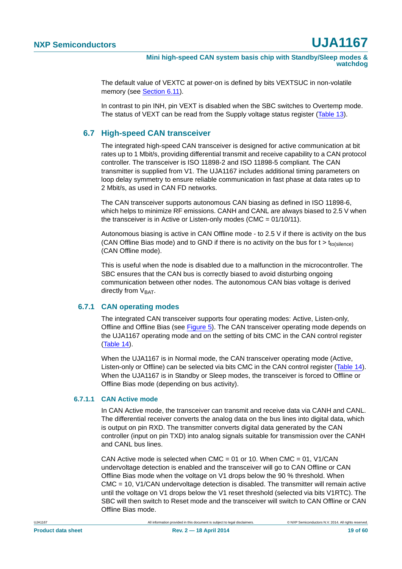**Mini high-speed CAN system basis chip with Standby/Sleep modes & watchdog**

The default value of VEXTC at power-on is defined by bits VEXTSUC in non-volatile memory (see [Section 6.11\)](#page-28-1).

In contrast to pin INH, pin VEXT is disabled when the SBC switches to Overtemp mode. The status of VEXT can be read from the Supply voltage status register [\(Table 13](#page-17-2)).

### <span id="page-18-0"></span>**6.7 High-speed CAN transceiver**

The integrated high-speed CAN transceiver is designed for active communication at bit rates up to 1 Mbit/s, providing differential transmit and receive capability to a CAN protocol controller. The transceiver is ISO 11898-2 and ISO 11898-5 compliant. The CAN transmitter is supplied from V1. The UJA1167 includes additional timing parameters on loop delay symmetry to ensure reliable communication in fast phase at data rates up to 2 Mbit/s, as used in CAN FD networks.

The CAN transceiver supports autonomous CAN biasing as defined in ISO 11898-6, which helps to minimize RF emissions. CANH and CANL are always biased to 2.5 V when the transceiver is in Active or Listen-only modes (CMC = 01/10/11).

Autonomous biasing is active in CAN Offline mode - to 2.5 V if there is activity on the bus (CAN Offline Bias mode) and to GND if there is no activity on the bus for  $t > t_{\text{tolsilence}}$ ) (CAN Offline mode).

This is useful when the node is disabled due to a malfunction in the microcontroller. The SBC ensures that the CAN bus is correctly biased to avoid disturbing ongoing communication between other nodes. The autonomous CAN bias voltage is derived directly from  $V<sub>BAT</sub>$ .

#### <span id="page-18-1"></span>**6.7.1 CAN operating modes**

The integrated CAN transceiver supports four operating modes: Active, Listen-only, Offline and Offline Bias (see [Figure 5\)](#page-21-0). The CAN transceiver operating mode depends on the UJA1167 operating mode and on the setting of bits CMC in the CAN control register [\(Table 14](#page-22-0)).

When the UJA1167 is in Normal mode, the CAN transceiver operating mode (Active, Listen-only or Offline) can be selected via bits CMC in the CAN control register ([Table 14\)](#page-22-0). When the UJA1167 is in Standby or Sleep modes, the transceiver is forced to Offline or Offline Bias mode (depending on bus activity).

#### <span id="page-18-2"></span>**6.7.1.1 CAN Active mode**

In CAN Active mode, the transceiver can transmit and receive data via CANH and CANL. The differential receiver converts the analog data on the bus lines into digital data, which is output on pin RXD. The transmitter converts digital data generated by the CAN controller (input on pin TXD) into analog signals suitable for transmission over the CANH and CANL bus lines.

CAN Active mode is selected when CMC = 01 or 10. When CMC = 01, V1/CAN undervoltage detection is enabled and the transceiver will go to CAN Offline or CAN Offline Bias mode when the voltage on V1 drops below the 90 % threshold. When CMC = 10, V1/CAN undervoltage detection is disabled. The transmitter will remain active until the voltage on V1 drops below the V1 reset threshold (selected via bits V1RTC). The SBC will then switch to Reset mode and the transceiver will switch to CAN Offline or CAN Offline Bias mode.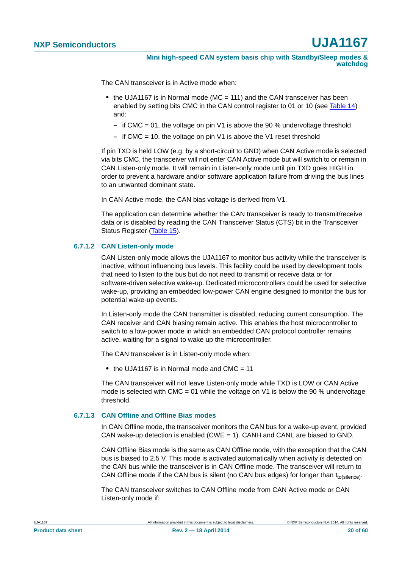The CAN transceiver is in Active mode when:

- **•** the UJA1167 is in Normal mode (MC = 111) and the CAN transceiver has been enabled by setting bits CMC in the CAN control register to 01 or 10 (see [Table 14](#page-22-0)) and:
	- **–** if CMC = 01, the voltage on pin V1 is above the 90 % undervoltage threshold
	- **–** if CMC = 10, the voltage on pin V1 is above the V1 reset threshold

If pin TXD is held LOW (e.g. by a short-circuit to GND) when CAN Active mode is selected via bits CMC, the transceiver will not enter CAN Active mode but will switch to or remain in CAN Listen-only mode. It will remain in Listen-only mode until pin TXD goes HIGH in order to prevent a hardware and/or software application failure from driving the bus lines to an unwanted dominant state.

In CAN Active mode, the CAN bias voltage is derived from V1.

The application can determine whether the CAN transceiver is ready to transmit/receive data or is disabled by reading the CAN Transceiver Status (CTS) bit in the Transceiver Status Register ([Table 15\)](#page-22-1).

#### <span id="page-19-0"></span>**6.7.1.2 CAN Listen-only mode**

CAN Listen-only mode allows the UJA1167 to monitor bus activity while the transceiver is inactive, without influencing bus levels. This facility could be used by development tools that need to listen to the bus but do not need to transmit or receive data or for software-driven selective wake-up. Dedicated microcontrollers could be used for selective wake-up, providing an embedded low-power CAN engine designed to monitor the bus for potential wake-up events.

In Listen-only mode the CAN transmitter is disabled, reducing current consumption. The CAN receiver and CAN biasing remain active. This enables the host microcontroller to switch to a low-power mode in which an embedded CAN protocol controller remains active, waiting for a signal to wake up the microcontroller.

The CAN transceiver is in Listen-only mode when:

 $\bullet$  the UJA1167 is in Normal mode and CMC  $=$  11

The CAN transceiver will not leave Listen-only mode while TXD is LOW or CAN Active mode is selected with CMC = 01 while the voltage on V1 is below the 90 % undervoltage threshold.

#### <span id="page-19-1"></span>**6.7.1.3 CAN Offline and Offline Bias modes**

In CAN Offline mode, the transceiver monitors the CAN bus for a wake-up event, provided CAN wake-up detection is enabled (CWE = 1). CANH and CANL are biased to GND.

CAN Offline Bias mode is the same as CAN Offline mode, with the exception that the CAN bus is biased to 2.5 V. This mode is activated automatically when activity is detected on the CAN bus while the transceiver is in CAN Offline mode. The transceiver will return to CAN Offline mode if the CAN bus is silent (no CAN bus edges) for longer than  $t_{\text{to(silence)}}$ .

The CAN transceiver switches to CAN Offline mode from CAN Active mode or CAN Listen-only mode if: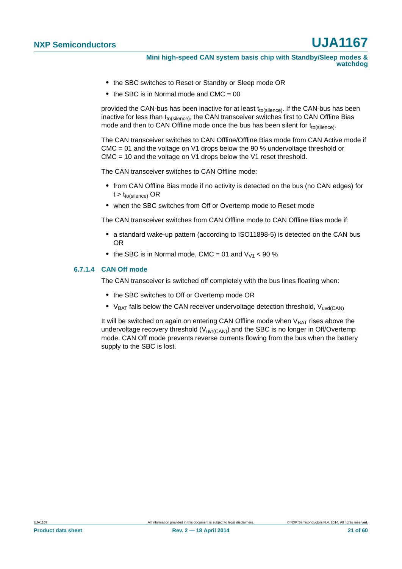**Mini high-speed CAN system basis chip with Standby/Sleep modes & watchdog**

- **•** the SBC switches to Reset or Standby or Sleep mode OR
- the SBC is in Normal mode and  $CMC = 00$

provided the CAN-bus has been inactive for at least  $t_{to(silence)}$ . If the CAN-bus has been inactive for less than  $t_{\text{to(silence)}}$ , the CAN transceiver switches first to CAN Offline Bias mode and then to CAN Offline mode once the bus has been silent for  $t_{\text{to(silence)}}$ .

The CAN transceiver switches to CAN Offline/Offline Bias mode from CAN Active mode if CMC = 01 and the voltage on V1 drops below the 90 % undervoltage threshold or CMC = 10 and the voltage on V1 drops below the V1 reset threshold.

The CAN transceiver switches to CAN Offline mode:

- **•** from CAN Offline Bias mode if no activity is detected on the bus (no CAN edges) for  $t > t_{to(silence)}$  OR
- **•** when the SBC switches from Off or Overtemp mode to Reset mode

The CAN transceiver switches from CAN Offline mode to CAN Offline Bias mode if:

- **•** a standard wake-up pattern (according to ISO11898-5) is detected on the CAN bus OR
- the SBC is in Normal mode, CMC = 01 and  $V_{V1}$  < 90 %

#### <span id="page-20-0"></span>**6.7.1.4 CAN Off mode**

The CAN transceiver is switched off completely with the bus lines floating when:

- **•** the SBC switches to Off or Overtemp mode OR
- V<sub>BAT</sub> falls below the CAN receiver undervoltage detection threshold, V<sub>uvd(CAN)</sub>

It will be switched on again on entering CAN Offline mode when  $V_{BAT}$  rises above the undervoltage recovery threshold  $(V_{UV(CAN)})$  and the SBC is no longer in Off/Overtemp mode. CAN Off mode prevents reverse currents flowing from the bus when the battery supply to the SBC is lost.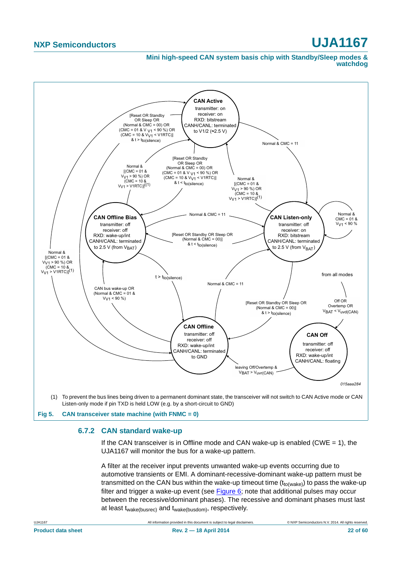#### **Mini high-speed CAN system basis chip with Standby/Sleep modes & watchdog**



#### <span id="page-21-1"></span><span id="page-21-0"></span>**6.7.2 CAN standard wake-up**

If the CAN transceiver is in Offline mode and CAN wake-up is enabled (CWE  $= 1$ ), the UJA1167 will monitor the bus for a wake-up pattern.

A filter at the receiver input prevents unwanted wake-up events occurring due to automotive transients or EMI. A dominant-recessive-dominant wake-up pattern must be transmitted on the CAN bus within the wake-up timeout time  $(t_{to(wake)})$  to pass the wake-up filter and trigger a wake-up event (see [Figure 6](#page-22-2); note that additional pulses may occur between the recessive/dominant phases). The recessive and dominant phases must last at least twake(busrec) and twake(busdom), respectively.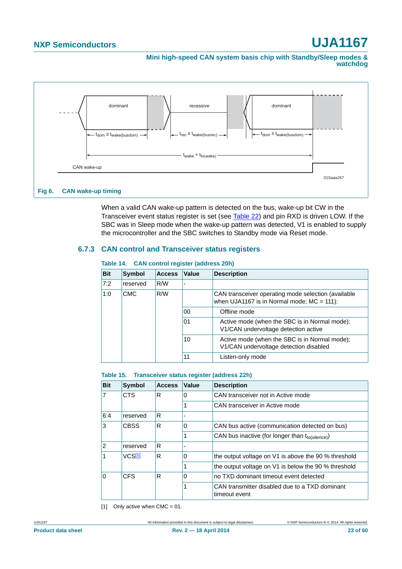**Mini high-speed CAN system basis chip with Standby/Sleep modes & watchdog**



<span id="page-22-2"></span>When a valid CAN wake-up pattern is detected on the bus, wake-up bit CW in the Transceiver event status register is set (see [Table 22](#page-27-0)) and pin RXD is driven LOW. If the SBC was in Sleep mode when the wake-up pattern was detected, V1 is enabled to supply the microcontroller and the SBC switches to Standby mode via Reset mode.

#### <span id="page-22-4"></span>**6.7.3 CAN control and Transceiver status registers**

| <b>Bit</b>        | <b>Symbol</b> | <b>Access</b> | Value | <b>Description</b>                                                                                  |  |  |  |
|-------------------|---------------|---------------|-------|-----------------------------------------------------------------------------------------------------|--|--|--|
| 7:2               | reserved      | R/W           |       |                                                                                                     |  |  |  |
| 1:0<br><b>CMC</b> |               | R/W           |       | CAN transceiver operating mode selection (available<br>when UJA1167 is in Normal mode; $MC = 111$ : |  |  |  |
|                   |               |               | 00    | Offline mode                                                                                        |  |  |  |
|                   |               |               | 01    | Active mode (when the SBC is in Normal mode);<br>V1/CAN undervoltage detection active               |  |  |  |
|                   |               |               | 10    | Active mode (when the SBC is in Normal mode);<br>V1/CAN undervoltage detection disabled             |  |  |  |
|                   |               |               | 11    | Listen-only mode                                                                                    |  |  |  |

#### <span id="page-22-0"></span>**Table 14. CAN control register (address 20h)**

#### <span id="page-22-1"></span>**Table 15. Transceiver status register (address 22h)**

| <b>Bit</b> | <b>Symbol</b>      | <b>Access</b> | Value | <b>Description</b>                                              |
|------------|--------------------|---------------|-------|-----------------------------------------------------------------|
| 17         | <b>CTS</b>         | R             | 0     | CAN transceiver not in Active mode                              |
|            |                    |               |       | CAN transceiver in Active mode                                  |
| 6:4        | reserved           | R             |       |                                                                 |
| 3          | <b>CBSS</b>        | R             | 0     | CAN bus active (communication detected on bus)                  |
|            |                    |               | 1     | CAN bus inactive (for longer than tto(silence))                 |
| 12         | reserved           | R             | -     |                                                                 |
| 1          | VCS <sup>[1]</sup> | R             | 0     | the output voltage on V1 is above the 90 % threshold            |
|            |                    |               |       | the output voltage on V1 is below the 90 % threshold            |
| ۱o         | <b>CFS</b>         | R             | 0     | no TXD dominant timeout event detected                          |
|            |                    |               | 1     | CAN transmitter disabled due to a TXD dominant<br>timeout event |

<span id="page-22-3"></span>[1] Only active when  $CMC = 01$ .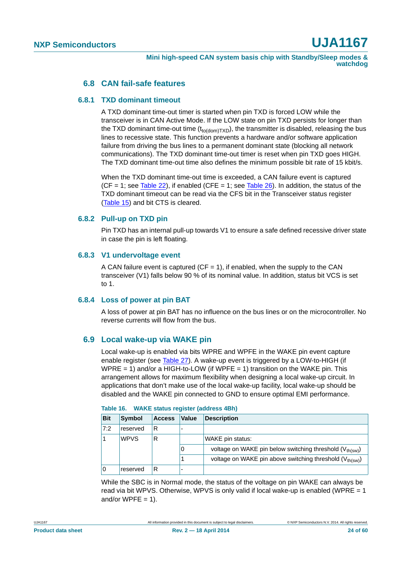#### **6.8 CAN fail-safe features**

#### <span id="page-23-1"></span><span id="page-23-0"></span>**6.8.1 TXD dominant timeout**

A TXD dominant time-out timer is started when pin TXD is forced LOW while the transceiver is in CAN Active Mode. If the LOW state on pin TXD persists for longer than the TXD dominant time-out time  $(t_{\text{to}(dom)TXD})$ , the transmitter is disabled, releasing the bus lines to recessive state. This function prevents a hardware and/or software application failure from driving the bus lines to a permanent dominant state (blocking all network communications). The TXD dominant time-out timer is reset when pin TXD goes HIGH. The TXD dominant time-out time also defines the minimum possible bit rate of 15 kbit/s.

When the TXD dominant time-out time is exceeded, a CAN failure event is captured  $(CF = 1$ ; see [Table 22\)](#page-27-0), if enabled  $(CFE = 1$ ; see [Table 26](#page-28-0)). In addition, the status of the TXD dominant timeout can be read via the CFS bit in the Transceiver status register [\(Table 15](#page-22-1)) and bit CTS is cleared.

#### <span id="page-23-2"></span>**6.8.2 Pull-up on TXD pin**

Pin TXD has an internal pull-up towards V1 to ensure a safe defined recessive driver state in case the pin is left floating.

#### <span id="page-23-3"></span>**6.8.3 V1 undervoltage event**

A CAN failure event is captured ( $CF = 1$ ), if enabled, when the supply to the CAN transceiver (V1) falls below 90 % of its nominal value. In addition, status bit VCS is set to 1.

#### <span id="page-23-4"></span>**6.8.4 Loss of power at pin BAT**

A loss of power at pin BAT has no influence on the bus lines or on the microcontroller. No reverse currents will flow from the bus.

#### <span id="page-23-5"></span>**6.9 Local wake-up via WAKE pin**

Local wake-up is enabled via bits WPRE and WPFE in the WAKE pin event capture enable register (see [Table 27](#page-28-3)). A wake-up event is triggered by a LOW-to-HIGH (if WPRE = 1) and/or a HIGH-to-LOW (if WPFE = 1) transition on the WAKE pin. This arrangement allows for maximum flexibility when designing a local wake-up circuit. In applications that don't make use of the local wake-up facility, local wake-up should be disabled and the WAKE pin connected to GND to ensure optimal EMI performance.

| <b>Bit</b> | <b>Symbol</b> | <b>Access</b> | <b>Value</b> | <b>Description</b>                                                   |
|------------|---------------|---------------|--------------|----------------------------------------------------------------------|
| 7:2        | reserved      | R             |              |                                                                      |
|            | <b>WPVS</b>   | R             |              | WAKE pin status:                                                     |
|            |               |               | 0            | voltage on WAKE pin below switching threshold (V <sub>th(sw)</sub> ) |
|            |               |               |              | voltage on WAKE pin above switching threshold (V <sub>th(sw)</sub> ) |
|            | reserved      | R             |              |                                                                      |

While the SBC is in Normal mode, the status of the voltage on pin WAKE can always be read via bit WPVS. Otherwise, WPVS is only valid if local wake-up is enabled (WPRE = 1 and/or WPFE  $= 1$ ).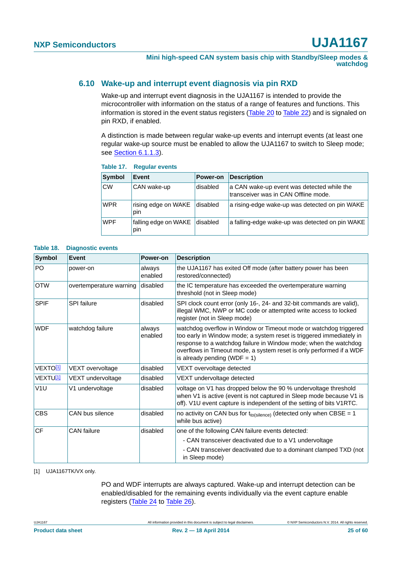#### <span id="page-24-0"></span>**6.10 Wake-up and interrupt event diagnosis via pin RXD**

Wake-up and interrupt event diagnosis in the UJA1167 is intended to provide the microcontroller with information on the status of a range of features and functions. This information is stored in the event status registers [\(Table 20](#page-26-0) to [Table 22](#page-27-0)) and is signaled on pin RXD, if enabled.

A distinction is made between regular wake-up events and interrupt events (at least one regular wake-up source must be enabled to allow the UJA1167 to switch to Sleep mode; see [Section 6.1.1.3\)](#page-6-1).

| Symbol     | Event                       | Power-on | <b>Description</b>                                                                 |
|------------|-----------------------------|----------|------------------------------------------------------------------------------------|
| <b>CW</b>  | CAN wake-up                 | disabled | a CAN wake-up event was detected while the<br>transceiver was in CAN Offline mode. |
| <b>WPR</b> | rising edge on WAKE<br>pin  | disabled | a rising-edge wake-up was detected on pin WAKE                                     |
| <b>WPF</b> | falling edge on WAKE<br>pin | disabled | a falling-edge wake-up was detected on pin WAKE                                    |

#### **Table 17. Regular events**

#### **Table 18. Diagnostic events**

| Symbol               | Event                   | Power-on          | <b>Description</b>                                                                                                                                                                                                                                                                                                       |
|----------------------|-------------------------|-------------------|--------------------------------------------------------------------------------------------------------------------------------------------------------------------------------------------------------------------------------------------------------------------------------------------------------------------------|
| PO                   | power-on                | always<br>enabled | the UJA1167 has exited Off mode (after battery power has been<br>restored/connected)                                                                                                                                                                                                                                     |
| <b>OTW</b>           | overtemperature warning | disabled          | the IC temperature has exceeded the overtemperature warning<br>threshold (not in Sleep mode)                                                                                                                                                                                                                             |
| <b>SPIF</b>          | <b>SPI</b> failure      | disabled          | SPI clock count error (only 16-, 24- and 32-bit commands are valid),<br>illegal WMC, NWP or MC code or attempted write access to locked<br>register (not in Sleep mode)                                                                                                                                                  |
| <b>WDF</b>           | watchdog failure        | always<br>enabled | watchdog overflow in Window or Timeout mode or watchdog triggered<br>too early in Window mode; a system reset is triggered immediately in<br>response to a watchdog failure in Window mode; when the watchdog<br>overflows in Timeout mode, a system reset is only performed if a WDF<br>is already pending (WDF = $1$ ) |
| VEXTO[1]             | VEXT overvoltage        | disabled          | VEXT overvoltage detected                                                                                                                                                                                                                                                                                                |
| VEXTU <sup>[1]</sup> | VEXT undervoltage       | disabled          | VEXT undervoltage detected                                                                                                                                                                                                                                                                                               |
| V1U                  | V1 undervoltage         | disabled          | voltage on V1 has dropped below the 90 % undervoltage threshold<br>when V1 is active (event is not captured in Sleep mode because V1 is<br>off). V1U event capture is independent of the setting of bits V1RTC.                                                                                                          |
| <b>CBS</b>           | CAN bus silence         | disabled          | no activity on CAN bus for $t_{to(silence)}$ (detected only when CBSE = 1<br>while bus active)                                                                                                                                                                                                                           |
| <b>CF</b>            | <b>CAN</b> failure      | disabled          | one of the following CAN failure events detected:                                                                                                                                                                                                                                                                        |
|                      |                         |                   | - CAN transceiver deactivated due to a V1 undervoltage                                                                                                                                                                                                                                                                   |
|                      |                         |                   | - CAN transceiver deactivated due to a dominant clamped TXD (not<br>in Sleep mode)                                                                                                                                                                                                                                       |

#### <span id="page-24-1"></span>[1] UJA1167TK/VX only.

PO and WDF interrupts are always captured. Wake-up and interrupt detection can be enabled/disabled for the remaining events individually via the event capture enable registers ([Table 24](#page-27-1) to [Table 26\)](#page-28-0).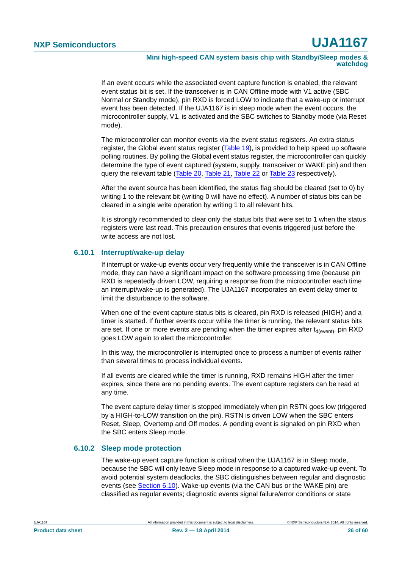#### **Mini high-speed CAN system basis chip with Standby/Sleep modes & watchdog**

If an event occurs while the associated event capture function is enabled, the relevant event status bit is set. If the transceiver is in CAN Offline mode with V1 active (SBC Normal or Standby mode), pin RXD is forced LOW to indicate that a wake-up or interrupt event has been detected. If the UJA1167 is in sleep mode when the event occurs, the microcontroller supply, V1, is activated and the SBC switches to Standby mode (via Reset mode).

The microcontroller can monitor events via the event status registers. An extra status register, the Global event status register ([Table 19](#page-26-1)), is provided to help speed up software polling routines. By polling the Global event status register, the microcontroller can quickly determine the type of event captured (system, supply, transceiver or WAKE pin) and then query the relevant table ([Table 20](#page-26-0), [Table 21,](#page-27-2) [Table 22](#page-27-0) or [Table 23](#page-27-3) respectively).

After the event source has been identified, the status flag should be cleared (set to 0) by writing 1 to the relevant bit (writing 0 will have no effect). A number of status bits can be cleared in a single write operation by writing 1 to all relevant bits.

It is strongly recommended to clear only the status bits that were set to 1 when the status registers were last read. This precaution ensures that events triggered just before the write access are not lost.

#### <span id="page-25-0"></span>**6.10.1 Interrupt/wake-up delay**

If interrupt or wake-up events occur very frequently while the transceiver is in CAN Offline mode, they can have a significant impact on the software processing time (because pin RXD is repeatedly driven LOW, requiring a response from the microcontroller each time an interrupt/wake-up is generated). The UJA1167 incorporates an event delay timer to limit the disturbance to the software.

When one of the event capture status bits is cleared, pin RXD is released (HIGH) and a timer is started. If further events occur while the timer is running, the relevant status bits are set. If one or more events are pending when the timer expires after  $t_{\text{deventh}}$ , pin RXD goes LOW again to alert the microcontroller.

In this way, the microcontroller is interrupted once to process a number of events rather than several times to process individual events.

If all events are cleared while the timer is running, RXD remains HIGH after the timer expires, since there are no pending events. The event capture registers can be read at any time.

The event capture delay timer is stopped immediately when pin RSTN goes low (triggered by a HIGH-to-LOW transition on the pin). RSTN is driven LOW when the SBC enters Reset, Sleep, Overtemp and Off modes. A pending event is signaled on pin RXD when the SBC enters Sleep mode.

#### <span id="page-25-1"></span>**6.10.2 Sleep mode protection**

The wake-up event capture function is critical when the UJA1167 is in Sleep mode, because the SBC will only leave Sleep mode in response to a captured wake-up event. To avoid potential system deadlocks, the SBC distinguishes between regular and diagnostic events (see [Section 6.10\)](#page-24-0). Wake-up events (via the CAN bus or the WAKE pin) are classified as regular events; diagnostic events signal failure/error conditions or state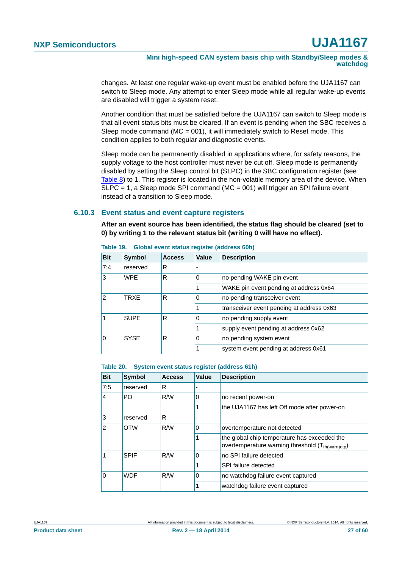**Mini high-speed CAN system basis chip with Standby/Sleep modes & watchdog**

changes. At least one regular wake-up event must be enabled before the UJA1167 can switch to Sleep mode. Any attempt to enter Sleep mode while all regular wake-up events are disabled will trigger a system reset.

Another condition that must be satisfied before the UJA1167 can switch to Sleep mode is that all event status bits must be cleared. If an event is pending when the SBC receives a Sleep mode command ( $MC = 001$ ), it will immediately switch to Reset mode. This condition applies to both regular and diagnostic events.

Sleep mode can be permanently disabled in applications where, for safety reasons, the supply voltage to the host controller must never be cut off. Sleep mode is permanently disabled by setting the Sleep control bit (SLPC) in the SBC configuration register (see [Table 8](#page-12-0)) to 1. This register is located in the non-volatile memory area of the device. When  $SLPC = 1$ , a Sleep mode SPI command (MC = 001) will trigger an SPI failure event instead of a transition to Sleep mode.

#### <span id="page-26-2"></span>**6.10.3 Event status and event capture registers**

**After an event source has been identified, the status flag should be cleared (set to 0) by writing 1 to the relevant status bit (writing 0 will have no effect).**

| <b>Bit</b> | <b>Symbol</b> | <b>Access</b> | Value                                  | <b>Description</b>                        |
|------------|---------------|---------------|----------------------------------------|-------------------------------------------|
| 7:4        | reserved      | R             |                                        |                                           |
| 3          | <b>WPF</b>    | R             | 0                                      | no pending WAKE pin event                 |
|            |               |               | WAKE pin event pending at address 0x64 |                                           |
| 2          | TRXF          | R             | 0                                      | no pending transceiver event              |
|            |               |               |                                        | transceiver event pending at address 0x63 |
|            | <b>SUPE</b>   | R             | 0                                      | no pending supply event                   |
|            |               |               |                                        | supply event pending at address 0x62      |
| 0          | <b>SYSE</b>   | R             | 0                                      | no pending system event                   |
|            |               |               |                                        | system event pending at address 0x61      |

<span id="page-26-1"></span>**Table 19. Global event status register (address 60h)**

<span id="page-26-0"></span>

|  |  | Table 20. System event status register (address 61h) |  |  |  |
|--|--|------------------------------------------------------|--|--|--|
|--|--|------------------------------------------------------|--|--|--|

| <b>Bit</b> | <b>Symbol</b> | <b>Access</b> | Value | <b>Description</b>                                                                                            |
|------------|---------------|---------------|-------|---------------------------------------------------------------------------------------------------------------|
| 7:5        | reserved      | R             |       |                                                                                                               |
| 4          | PO            | R/W           | 0     | no recent power-on                                                                                            |
|            |               |               |       | the UJA1167 has left Off mode after power-on                                                                  |
| 3          | reserved      | R             |       |                                                                                                               |
| 2          | <b>OTW</b>    | R/W           | 0     | overtemperature not detected                                                                                  |
|            |               |               |       | the global chip temperature has exceeded the<br>overtemperature warning threshold (T <sub>th(warn)otp</sub> ) |
|            | <b>SPIF</b>   | R/W           | 0     | no SPI failure detected                                                                                       |
|            |               |               |       | SPI failure detected                                                                                          |
| 0          | <b>WDF</b>    | R/W           | 0     | no watchdog failure event captured                                                                            |
|            |               |               |       | watchdog failure event captured                                                                               |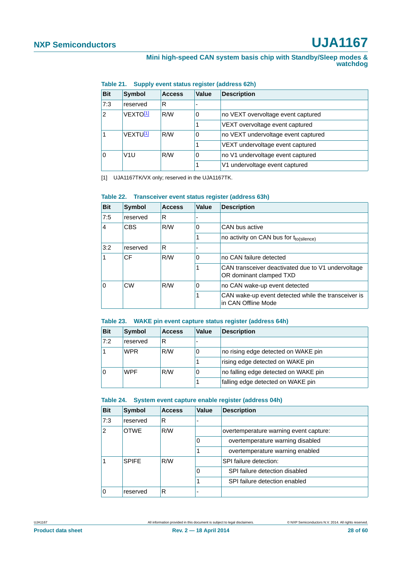#### **Mini high-speed CAN system basis chip with Standby/Sleep modes & watchdog**

| <b>Bit</b> | Symbol                  | <b>Access</b> | Value | <b>Description</b>                  |
|------------|-------------------------|---------------|-------|-------------------------------------|
| 7:3        | reserved                | R             |       |                                     |
| 2          | VEXTO <sup>[1]</sup>    | R/W           | 0     | no VEXT overvoltage event captured  |
|            |                         |               |       | VEXT overvoltage event captured     |
|            | VEXTUU1                 | R/W           | 0     | no VEXT undervoltage event captured |
|            |                         |               |       | VEXT undervoltage event captured    |
|            | R/W<br>V <sub>1</sub> U |               | 0     | no V1 undervoltage event captured   |
|            |                         |               |       | V1 undervoltage event captured      |

#### <span id="page-27-2"></span>**Table 21. Supply event status register (address 62h)**

<span id="page-27-4"></span>[1] UJA1167TK/VX only; reserved in the UJA1167TK.

#### <span id="page-27-0"></span>**Table 22. Transceiver event status register (address 63h)**

| <b>Bit</b>     | Symbol     | <b>Access</b> | Value                                                                         | <b>Description</b>                                                         |
|----------------|------------|---------------|-------------------------------------------------------------------------------|----------------------------------------------------------------------------|
| 7:5            | reserved   | R             |                                                                               |                                                                            |
| $\overline{4}$ | <b>CBS</b> | R/W           | 0                                                                             | CAN bus active                                                             |
|                |            |               | no activity on CAN bus for t <sub>to(silence)</sub>                           |                                                                            |
| 3:2            | reserved   | R             |                                                                               |                                                                            |
| 1              | CF<br>R/W  |               | 0                                                                             | no CAN failure detected                                                    |
|                |            |               | CAN transceiver deactivated due to V1 undervoltage<br>OR dominant clamped TXD |                                                                            |
| 0              | CW         | R/W           | 0                                                                             | no CAN wake-up event detected                                              |
|                |            |               |                                                                               | CAN wake-up event detected while the transceiver is<br>in CAN Offline Mode |

#### <span id="page-27-3"></span>**Table 23. WAKE pin event capture status register (address 64h)**

| <b>Bit</b> | <b>Symbol</b> | <b>Access</b> | Value | <b>Description</b>                   |
|------------|---------------|---------------|-------|--------------------------------------|
| 7:2        | reserved      | R             |       |                                      |
|            | <b>WPR</b>    | R/W           | 0     | no rising edge detected on WAKE pin  |
|            |               |               |       | rising edge detected on WAKE pin     |
|            | <b>WPF</b>    | R/W           | 0     | no falling edge detected on WAKE pin |
|            |               |               |       | falling edge detected on WAKE pin    |

#### <span id="page-27-1"></span>**Table 24. System event capture enable register (address 04h)**

| <b>Bit</b>    | Symbol       | <b>Access</b> | <b>Value</b> | <b>Description</b>                     |
|---------------|--------------|---------------|--------------|----------------------------------------|
| 7:3           | reserved     | R             |              |                                        |
| $\mathcal{P}$ | <b>OTWE</b>  | R/W           |              | overtemperature warning event capture: |
|               |              |               |              | overtemperature warning disabled       |
|               |              |               |              | overtemperature warning enabled        |
|               | <b>SPIFF</b> | R/W           |              | SPI failure detection:                 |
|               |              |               |              | SPI failure detection disabled         |
|               |              |               |              | SPI failure detection enabled          |
|               | reserved     | R             |              |                                        |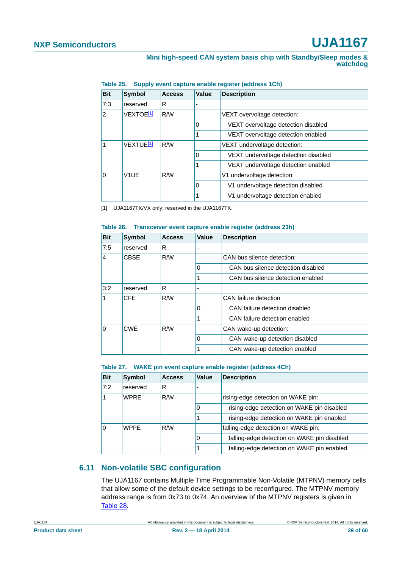| <b>Bit</b> | <b>Symbol</b>                | <b>Access</b> | Value | <b>Description</b>                   |
|------------|------------------------------|---------------|-------|--------------------------------------|
| 7:3        | reserved                     | R             |       |                                      |
| 2          | VEXTOE <sup>[1]</sup><br>R/W |               |       | VEXT overvoltage detection:          |
|            |                              |               | 0     | VEXT overvoltage detection disabled  |
|            |                              |               |       | VEXT overvoltage detection enabled   |
|            | VEXTUE <sup>[1]</sup><br>R/W |               |       | VEXT undervoltage detection:         |
|            |                              |               | 0     | VEXT undervoltage detection disabled |
|            |                              |               |       | VEXT undervoltage detection enabled  |
| O          | V <sub>1</sub> UE<br>R/W     |               |       | V1 undervoltage detection:           |
|            |                              |               | 0     | V1 undervoltage detection disabled   |
|            |                              |               |       | V1 undervoltage detection enabled    |

<span id="page-28-2"></span>**Table 25. Supply event capture enable register (address 1Ch)**

<span id="page-28-4"></span>[1] UJA1167TK/VX only; reserved in the UJA1167TK.

#### <span id="page-28-0"></span>**Table 26. Transceiver event capture enable register (address 23h)**

| <b>Bit</b> | Symbol             | <b>Access</b> | Value | <b>Description</b>                 |
|------------|--------------------|---------------|-------|------------------------------------|
| 7:5        | reserved           | R             |       |                                    |
| 4          | R/W<br><b>CBSE</b> |               |       | CAN bus silence detection:         |
|            |                    |               | 0     | CAN bus silence detection disabled |
|            |                    |               | 1     | CAN bus silence detection enabled  |
| 3:2        | reserved           | R             |       |                                    |
|            | <b>CFE</b>         | R/W           |       | CAN failure detection              |
|            |                    |               | 0     | CAN failure detection disabled     |
|            |                    |               | 1     | CAN failure detection enabled      |
| $\Omega$   | <b>CWE</b>         | R/W           |       | CAN wake-up detection:             |
|            |                    |               | 0     | CAN wake-up detection disabled     |
|            |                    |               |       | CAN wake-up detection enabled      |

<span id="page-28-3"></span>**Table 27. WAKE pin event capture enable register (address 4Ch)**

| <b>Bit</b> | Symbol             | <b>Access</b> | Value | <b>Description</b>                          |
|------------|--------------------|---------------|-------|---------------------------------------------|
| 7:2        | reserved           | R             |       |                                             |
|            | <b>WPRE</b><br>R/W |               |       | rising-edge detection on WAKE pin:          |
|            |                    |               | 0     | rising-edge detection on WAKE pin disabled  |
|            |                    |               |       | rising-edge detection on WAKE pin enabled   |
| 0          | R/W<br><b>WPFF</b> |               |       | falling-edge detection on WAKE pin:         |
|            |                    |               | 0     | falling-edge detection on WAKE pin disabled |
|            |                    |               |       | falling-edge detection on WAKE pin enabled  |

#### <span id="page-28-1"></span>**6.11 Non-volatile SBC configuration**

The UJA1167 contains Multiple Time Programmable Non-Volatile (MTPNV) memory cells that allow some of the default device settings to be reconfigured. The MTPNV memory address range is from 0x73 to 0x74. An overview of the MTPNV registers is given in [Table 28.](#page-29-0)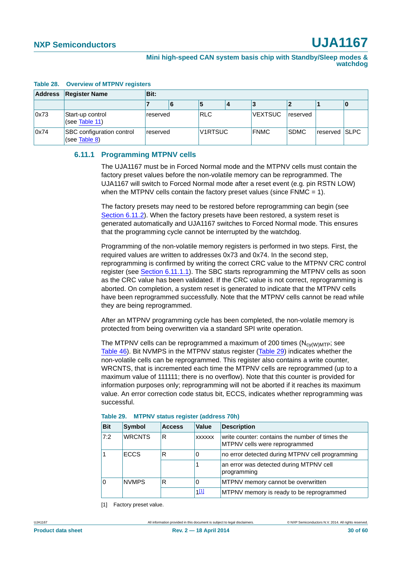| <b>Address</b> | <b>Register Name</b>                              | Bit:     |   |            |  |                |             |               |  |
|----------------|---------------------------------------------------|----------|---|------------|--|----------------|-------------|---------------|--|
|                |                                                   |          | 6 | э          |  |                |             |               |  |
| 0x73           | Start-up control<br>(see Table 11)                | reserved |   | <b>RLC</b> |  | <b>VEXTSUC</b> | reserved    |               |  |
| 0x74           | <b>SBC</b> configuration control<br>(see Table 8) | reserved |   | V1RTSUC    |  | <b>FNMC</b>    | <b>SDMC</b> | reserved SLPC |  |

#### <span id="page-29-0"></span>**Table 28. Overview of MTPNV registers**

#### <span id="page-29-3"></span>**6.11.1 Programming MTPNV cells**

The UJA1167 must be in Forced Normal mode and the MTPNV cells must contain the factory preset values before the non-volatile memory can be reprogrammed. The UJA1167 will switch to Forced Normal mode after a reset event (e.g. pin RSTN LOW) when the MTPNV cells contain the factory preset values (since FNMC = 1).

The factory presets may need to be restored before reprogramming can begin (see [Section 6.11.2](#page-31-0)). When the factory presets have been restored, a system reset is generated automatically and UJA1167 switches to Forced Normal mode. This ensures that the programming cycle cannot be interrupted by the watchdog.

Programming of the non-volatile memory registers is performed in two steps. First, the required values are written to addresses 0x73 and 0x74. In the second step, reprogramming is confirmed by writing the correct CRC value to the MTPNV CRC control register (see [Section 6.11.1.1\)](#page-30-0). The SBC starts reprogramming the MTPNV cells as soon as the CRC value has been validated. If the CRC value is not correct, reprogramming is aborted. On completion, a system reset is generated to indicate that the MTPNV cells have been reprogrammed successfully. Note that the MTPNV cells cannot be read while they are being reprogrammed.

After an MTPNV programming cycle has been completed, the non-volatile memory is protected from being overwritten via a standard SPI write operation.

The MTPNV cells can be reprogrammed a maximum of 200 times  $(N_{\text{cv}(\text{WMTP})};$  see [Table 46\)](#page-40-0). Bit NVMPS in the MTPNV status register [\(Table 29](#page-29-1)) indicates whether the non-volatile cells can be reprogrammed. This register also contains a write counter, WRCNTS, that is incremented each time the MTPNV cells are reprogrammed (up to a maximum value of 111111; there is no overflow). Note that this counter is provided for information purposes only; reprogramming will not be aborted if it reaches its maximum value. An error correction code status bit, ECCS, indicates whether reprogramming was successful.

| <b>Bit</b> | Symbol        | <b>Access</b> | <b>Value</b>  | <b>Description</b>                                                               |  |
|------------|---------------|---------------|---------------|----------------------------------------------------------------------------------|--|
| 7:2        | <b>WRCNTS</b> | R             | <b>XXXXXX</b> | write counter: contains the number of times the<br>MTPNV cells were reprogrammed |  |
|            | <b>ECCS</b>   | R             | 0             | no error detected during MTPNV cell programming                                  |  |
|            |               |               |               | an error was detected during MTPNV cell<br>programming                           |  |
|            | <b>NVMPS</b>  | R             | 0             | MTPNV memory cannot be overwritten                                               |  |
|            |               |               | 111           | MTPNV memory is ready to be reprogrammed                                         |  |

<span id="page-29-1"></span>

| Table 29. |  |  |  | <b>MTPNV status register (address 70h)</b> |  |  |
|-----------|--|--|--|--------------------------------------------|--|--|
|-----------|--|--|--|--------------------------------------------|--|--|

<span id="page-29-2"></span>[1] Factory preset value.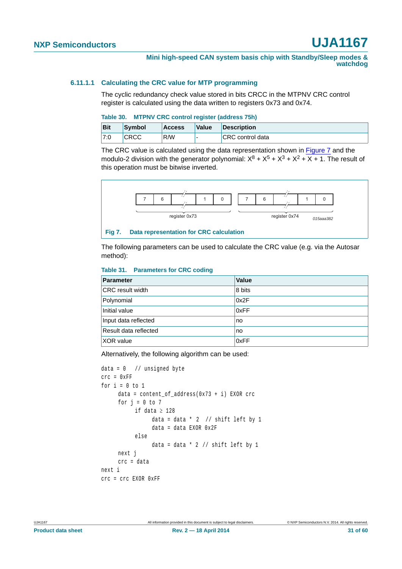#### <span id="page-30-0"></span>**6.11.1.1 Calculating the CRC value for MTP programming**

The cyclic redundancy check value stored in bits CRCC in the MTPNV CRC control register is calculated using the data written to registers 0x73 and 0x74.

#### **Table 30. MTPNV CRC control register (address 75h)**

| <b>Bit</b> | Symbol      | <b>Access</b> | <b>Value</b> | <b>Description</b>      |
|------------|-------------|---------------|--------------|-------------------------|
| 7:0        | <b>CRCC</b> | R/W           |              | <b>CRC</b> control data |

The CRC value is calculated using the data representation shown in [Figure 7](#page-30-1) and the modulo-2 division with the generator polynomial:  $X^8 + X^5 + X^3 + X^2 + X + 1$ . The result of this operation must be bitwise inverted.



<span id="page-30-1"></span>The following parameters can be used to calculate the CRC value (e.g. via the Autosar method):

#### **Table 31. Parameters for CRC coding**

| <b>Parameter</b>        | <b>Value</b> |
|-------------------------|--------------|
| <b>CRC</b> result width | 8 bits       |
| Polynomial              | 0x2F         |
| Initial value           | 0xFF         |
| Input data reflected    | no           |
| Result data reflected   | no           |
| <b>XOR</b> value        | 0xFF         |

Alternatively, the following algorithm can be used:

```
data = 0 // unsigned byte
crc = 0xFF
for i = 0 to 1
     data = content_of_address(0x73 + i) EXOR crc
     for j = 0 to 7if data \geq 128data = data * 2 // shift left by 1
                data = data EXOR 0x2F
           else
                data = data * 2 // shift left by 1
     next j
     crc = data
next i
crc = crc EXOR 0xFF
```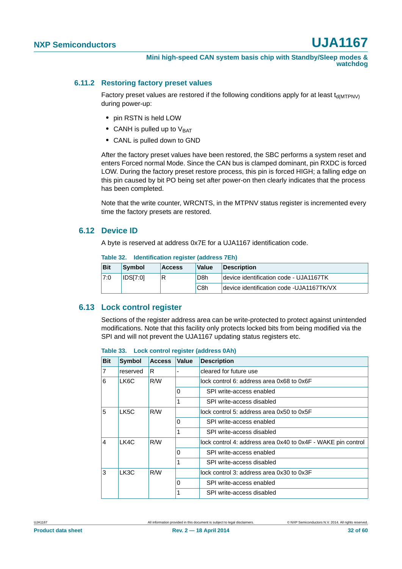#### <span id="page-31-0"></span>**6.11.2 Restoring factory preset values**

Factory preset values are restored if the following conditions apply for at least  $t_{d(MTPNV)}$ during power-up:

- **•** pin RSTN is held LOW
- CANH is pulled up to V<sub>BAT</sub>
- **•** CANL is pulled down to GND

After the factory preset values have been restored, the SBC performs a system reset and enters Forced normal Mode. Since the CAN bus is clamped dominant, pin RXDC is forced LOW. During the factory preset restore process, this pin is forced HIGH; a falling edge on this pin caused by bit PO being set after power-on then clearly indicates that the process has been completed.

Note that the write counter, WRCNTS, in the MTPNV status register is incremented every time the factory presets are restored.

#### <span id="page-31-1"></span>**6.12 Device ID**

A byte is reserved at address 0x7E for a UJA1167 identification code.

| Table 32. |  |  | Identification register (address 7Eh) |
|-----------|--|--|---------------------------------------|
|-----------|--|--|---------------------------------------|

| <b>Bit</b> | Symbol          | <b>Access</b> | <b>Value</b>     | <b>Description</b>                        |
|------------|-----------------|---------------|------------------|-------------------------------------------|
| 7:0        | <b>IDS[7:0]</b> | 'R            | D8h              | device identification code - UJA1167TK    |
|            |                 |               | C <sub>8</sub> h | device identification code - UJA1167TK/VX |

#### <span id="page-31-2"></span>**6.13 Lock control register**

Sections of the register address area can be write-protected to protect against unintended modifications. Note that this facility only protects locked bits from being modified via the SPI and will not prevent the UJA1167 updating status registers etc.

#### **Table 33. Lock control register (address 0Ah)**

| <b>Bit</b> | <b>Symbol</b> | <b>Access</b> | <b>Value</b> | <b>Description</b>                                           |
|------------|---------------|---------------|--------------|--------------------------------------------------------------|
| 7          | reserved      | R             |              | cleared for future use                                       |
| 6          | LK6C          | R/W           |              | lock control 6: address area 0x68 to 0x6F                    |
|            |               |               | 0            | SPI write-access enabled                                     |
|            |               |               | 1            | SPI write-access disabled                                    |
| 5          | LK5C          | R/W           |              | lock control 5: address area 0x50 to 0x5F                    |
|            |               |               | 0            | SPI write-access enabled                                     |
|            |               |               | 1            | SPI write-access disabled                                    |
| 4          | LK4C          | R/W           |              | lock control 4: address area 0x40 to 0x4F - WAKE pin control |
|            |               |               | $\Omega$     | SPI write-access enabled                                     |
|            |               |               | 1            | SPI write-access disabled                                    |
| 3          | LK3C          | R/W           |              | lock control 3: address area 0x30 to 0x3F                    |
|            |               |               | $\Omega$     | SPI write-access enabled                                     |
|            |               |               | 1            | SPI write-access disabled                                    |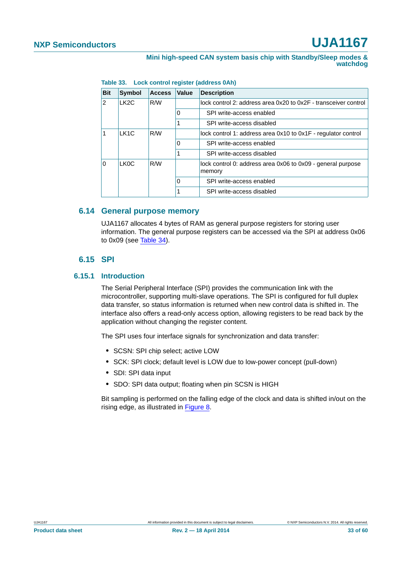| <b>Bit</b> | <b>Symbol</b>     | <b>Access</b> | <b>Value</b> | <b>Description</b>                                                    |
|------------|-------------------|---------------|--------------|-----------------------------------------------------------------------|
| 2          | LK <sub>2</sub> C | R/W           |              | lock control 2: address area 0x20 to 0x2F - transceiver control       |
|            |                   |               | 0            | SPI write-access enabled                                              |
|            |                   |               |              | SPI write-access disabled                                             |
|            | LK <sub>1</sub> C | R/W           |              | lock control 1: address area 0x10 to 0x1F - regulator control         |
|            |                   |               | 0            | SPI write-access enabled                                              |
|            |                   |               | 1            | SPI write-access disabled                                             |
| $\Omega$   | LK <sub>0</sub> C | R/W           |              | lock control 0: address area 0x06 to 0x09 - general purpose<br>memory |
|            |                   |               | 0            | SPI write-access enabled                                              |
|            |                   |               |              | SPI write-access disabled                                             |

| Table 33. |  |  |  | Lock control register (address 0Ah) |  |
|-----------|--|--|--|-------------------------------------|--|
|-----------|--|--|--|-------------------------------------|--|

#### <span id="page-32-2"></span>**6.14 General purpose memory**

UJA1167 allocates 4 bytes of RAM as general purpose registers for storing user information. The general purpose registers can be accessed via the SPI at address 0x06 to 0x09 (see [Table 34\)](#page-35-0).

#### **6.15 SPI**

#### <span id="page-32-1"></span><span id="page-32-0"></span>**6.15.1 Introduction**

The Serial Peripheral Interface (SPI) provides the communication link with the microcontroller, supporting multi-slave operations. The SPI is configured for full duplex data transfer, so status information is returned when new control data is shifted in. The interface also offers a read-only access option, allowing registers to be read back by the application without changing the register content.

The SPI uses four interface signals for synchronization and data transfer:

- **•** SCSN: SPI chip select; active LOW
- **•** SCK: SPI clock; default level is LOW due to low-power concept (pull-down)
- **•** SDI: SPI data input
- **•** SDO: SPI data output; floating when pin SCSN is HIGH

Bit sampling is performed on the falling edge of the clock and data is shifted in/out on the rising edge, as illustrated in [Figure 8.](#page-33-0)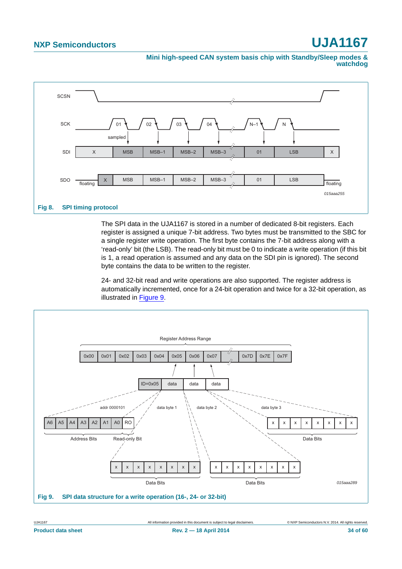**Mini high-speed CAN system basis chip with Standby/Sleep modes & watchdog**



<span id="page-33-0"></span>The SPI data in the UJA1167 is stored in a number of dedicated 8-bit registers. Each register is assigned a unique 7-bit address. Two bytes must be transmitted to the SBC for a single register write operation. The first byte contains the 7-bit address along with a 'read-only' bit (the LSB). The read-only bit must be 0 to indicate a write operation (if this bit is 1, a read operation is assumed and any data on the SDI pin is ignored). The second byte contains the data to be written to the register.

24- and 32-bit read and write operations are also supported. The register address is automatically incremented, once for a 24-bit operation and twice for a 32-bit operation, as illustrated in [Figure 9.](#page-33-1)



<span id="page-33-1"></span>UJA1167 All information provided in this document is subject to legal disclaimers. © NXP Semiconductors N.V. 2014. All rights reserved.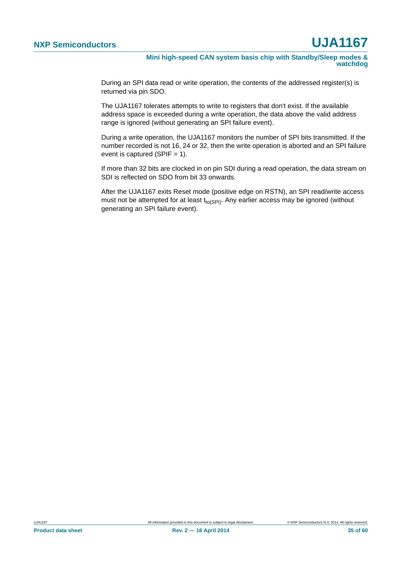**Mini high-speed CAN system basis chip with Standby/Sleep modes & watchdog**

During an SPI data read or write operation, the contents of the addressed register(s) is returned via pin SDO.

The UJA1167 tolerates attempts to write to registers that don't exist. If the available address space is exceeded during a write operation, the data above the valid address range is ignored (without generating an SPI failure event).

During a write operation, the UJA1167 monitors the number of SPI bits transmitted. If the number recorded is not 16, 24 or 32, then the write operation is aborted and an SPI failure event is captured (SPIF  $= 1$ ).

If more than 32 bits are clocked in on pin SDI during a read operation, the data stream on SDI is reflected on SDO from bit 33 onwards.

After the UJA1167 exits Reset mode (positive edge on RSTN), an SPI read/write access must not be attempted for at least  $t_{\text{to(SPI)}}$ . Any earlier access may be ignored (without generating an SPI failure event).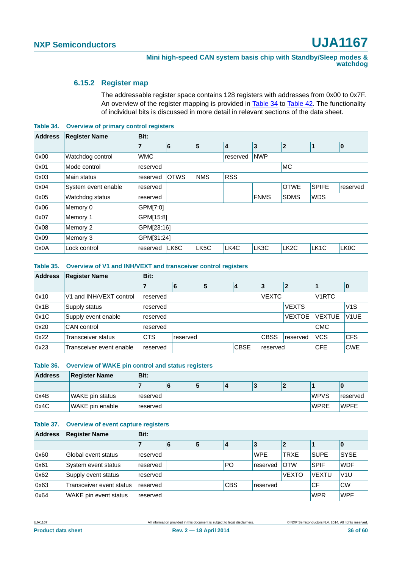#### <span id="page-35-1"></span>**6.15.2 Register map**

The addressable register space contains 128 registers with addresses from 0x00 to 0x7F. An overview of the register mapping is provided in [Table 34](#page-35-0) to [Table 42](#page-36-0). The functionality of individual bits is discussed in more detail in relevant sections of the data sheet.

<span id="page-35-0"></span>**Table 34. Overview of primary control registers**

| <b>Address</b> | <b>Register Name</b> | Bit:           |             |            |            |             |                   |                   |                   |  |
|----------------|----------------------|----------------|-------------|------------|------------|-------------|-------------------|-------------------|-------------------|--|
|                |                      | $\overline{7}$ | 6           | 5          | 4          | 3           | $\overline{2}$    | 1                 | $\mathbf{0}$      |  |
| 0x00           | Watchdog control     | <b>WMC</b>     |             |            | reserved   | <b>NWP</b>  |                   |                   |                   |  |
| 0x01           | Mode control         | reserved       |             |            |            |             | <b>MC</b>         |                   |                   |  |
| 0x03           | Main status          | reserved       | <b>OTWS</b> | <b>NMS</b> | <b>RSS</b> |             |                   |                   |                   |  |
| 0x04           | System event enable  | reserved       |             |            |            |             | <b>OTWE</b>       | <b>SPIFE</b>      | reserved          |  |
| 0x05           | Watchdog status      | reserved       |             |            |            | <b>FNMS</b> | <b>SDMS</b>       | <b>WDS</b>        |                   |  |
| 0x06           | Memory 0             | GPM[7:0]       |             |            |            |             |                   |                   |                   |  |
| 0x07           | Memory 1             | GPM[15:8]      |             |            |            |             |                   |                   |                   |  |
| 0x08           | Memory 2             | GPM[23:16]     |             |            |            |             |                   |                   |                   |  |
| 0x09           | Memory 3             | GPM[31:24]     |             |            |            |             |                   |                   |                   |  |
| 0x0A           | Lock control         | reserved       | LK6C        | LK5C       | LK4C       | LK3C        | LK <sub>2</sub> C | LK <sub>1</sub> C | LK <sub>0</sub> C |  |

**Table 35. Overview of V1 and INH/VEXT and transceiver control registers**

| <b>Address</b> | <b>Register Name</b>     | Bit:       |              |   |             |              |                |                    |                   |
|----------------|--------------------------|------------|--------------|---|-------------|--------------|----------------|--------------------|-------------------|
|                |                          |            | 6            | 5 | 4           | 3            | $\overline{2}$ |                    | 10                |
| 0x10           | V1 and INH/VEXT control  | reserved   |              |   |             | <b>VEXTC</b> |                | V <sub>1</sub> RTC |                   |
| 0x1B           | Supply status            | reserved   | <b>VEXTS</b> |   |             |              |                |                    |                   |
| 0x1C           | Supply event enable      | reserved   |              |   |             |              | <b>VEXTOE</b>  | <b>VEXTUE</b>      | V <sub>1</sub> UE |
| 0x20           | CAN control              | reserved   |              |   |             |              |                | <b>CMC</b>         |                   |
| 0x22           | Transceiver status       | <b>CTS</b> | reserved     |   |             | <b>CBSS</b>  | reserved       | <b>VCS</b>         | <b>CFS</b>        |
| 0x23           | Transceiver event enable | reserved   |              |   | <b>CBSE</b> | reserved     |                | <b>CFE</b>         | <b>CWE</b>        |

**Table 36. Overview of WAKE pin control and status registers**

| <b>Address</b> | <b>Register Name</b> | Bit:     |   |   |  |   |  |             |             |  |
|----------------|----------------------|----------|---|---|--|---|--|-------------|-------------|--|
|                |                      |          | O | э |  | P |  |             |             |  |
| 0x4B           | WAKE pin status      | reserved |   |   |  |   |  | <b>WPVS</b> | reserved    |  |
| 0x4C           | WAKE pin enable      | reserved |   |   |  |   |  | <b>WPRE</b> | <b>WPFE</b> |  |

#### **Table 37. Overview of event capture registers**

| <b>Address</b> | <b>Register Name</b>     | Bit:     |                              |   |            |            |                |              |             |  |
|----------------|--------------------------|----------|------------------------------|---|------------|------------|----------------|--------------|-------------|--|
|                |                          |          | 6                            | 5 |            | 3          | $\overline{2}$ |              | 10          |  |
| 0x60           | Global event status      | reserved |                              |   |            | <b>WPE</b> | <b>TRXE</b>    | <b>SUPE</b>  | <b>SYSE</b> |  |
| 0x61           | System event status      | reserved | PO<br><b>OTW</b><br>reserved |   |            |            |                | <b>SPIF</b>  | <b>WDF</b>  |  |
| 0x62           | Supply event status      | reserved |                              |   |            |            | <b>VEXTO</b>   | <b>VEXTU</b> | V1U         |  |
| 0x63           | Transceiver event status | reserved |                              |   | <b>CBS</b> | reserved   |                | CF           | <b>CW</b>   |  |
| 0x64           | WAKE pin event status    | reserved | <b>WPR</b>                   |   |            |            |                |              |             |  |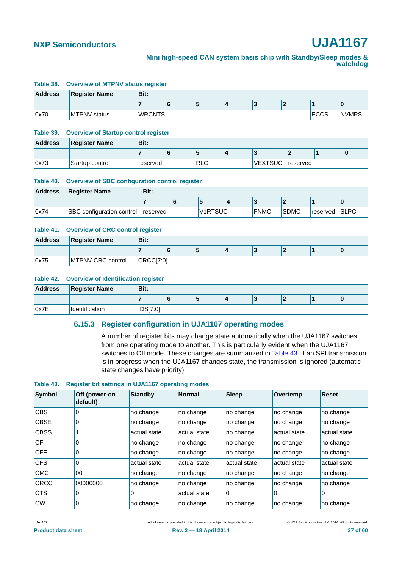#### **Mini high-speed CAN system basis chip with Standby/Sleep modes & watchdog**

#### **Table 38. Overview of MTPNV status register**

| <b>Address</b> | <b>Register Name</b> | Bit:          |   |  |      |              |
|----------------|----------------------|---------------|---|--|------|--------------|
|                |                      |               | ÷ |  |      |              |
| 0x70           | <b>MTPNV</b> status  | <b>WRCNTS</b> |   |  | ECCS | <b>NVMPS</b> |

#### **Table 39. Overview of Startup control register**

| <b>Address</b> | <b>Register Name</b>         | Bit:     |            |                |           |  |
|----------------|------------------------------|----------|------------|----------------|-----------|--|
|                |                              |          | э          |                |           |  |
| 0x73           | <sup>I</sup> Startup control | reserved | <b>RLC</b> | <b>VEXTSUC</b> | ˈreserved |  |

#### **Table 40. Overview of SBC configuration control register**

| <b>Address</b> | <b>Register Name</b>             | Bit:            |  |                |  |             |             |           |             |  |
|----------------|----------------------------------|-----------------|--|----------------|--|-------------|-------------|-----------|-------------|--|
|                |                                  |                 |  |                |  |             |             |           |             |  |
| 0x74           | <b>SBC</b> configuration control | <b>reserved</b> |  | <b>V1RTSUC</b> |  | <b>FNMC</b> | <b>SDMC</b> | ⊺reserved | <b>SLPC</b> |  |

#### **Table 41. Overview of CRC control register**

| <b>Address</b> | <b>Register Name</b>     | Bit:     |  |  |  |  |
|----------------|--------------------------|----------|--|--|--|--|
|                |                          |          |  |  |  |  |
| 0x75           | <b>MTPNV CRC control</b> | CRCCI7:0 |  |  |  |  |

#### <span id="page-36-0"></span>**Table 42. Overview of Identification register**

<span id="page-36-2"></span>

| <b>Address</b> | <b>Register Name</b> | Bit:     |   |  |  |  |
|----------------|----------------------|----------|---|--|--|--|
|                |                      |          | Ð |  |  |  |
| 0x7E           | Identification       | IDS[7:0] |   |  |  |  |

#### **6.15.3 Register configuration in UJA1167 operating modes**

A number of register bits may change state automatically when the UJA1167 switches from one operating mode to another. This is particularly evident when the UJA1167 switches to Off mode. These changes are summarized in [Table 43.](#page-36-1) If an SPI transmission is in progress when the UJA1167 changes state, the transmission is ignored (automatic state changes have priority).

#### <span id="page-36-1"></span>**Table 43. Register bit settings in UJA1167 operating modes**

| <b>Symbol</b> | Off (power-on<br>default) | <b>Standby</b> | <b>Normal</b> | <b>Sleep</b> | Overtemp     | <b>Reset</b> |
|---------------|---------------------------|----------------|---------------|--------------|--------------|--------------|
| <b>CBS</b>    | 0                         | no change      | no change     | no change    | no change    | no change    |
| <b>CBSE</b>   | 0                         | no change      | no change     | no change    | no change    | no change    |
| <b>CBSS</b>   |                           | actual state   | actual state  | no change    | actual state | actual state |
| <b>CF</b>     | 0                         | no change      | no change     | no change    | no change    | no change    |
| <b>CFE</b>    | $\Omega$                  | no change      | no change     | no change    | no change    | no change    |
| <b>CFS</b>    | 0                         | actual state   | actual state  | actual state | actual state | actual state |
| <b>CMC</b>    | $00\,$                    | no change      | no change     | no change    | no change    | no change    |
| <b>CRCC</b>   | 00000000                  | no change      | no change     | no change    | no change    | no change    |
| <b>CTS</b>    | 0                         | 0              | actual state  | 0            | 0            | 0            |
| <b>CW</b>     | 0                         | no change      | no change     | no change    | no change    | no change    |

UJA1167 All information provided in this document is subject to legal disclaimers. © NXP Semiconductors N.V. 2014. All rights reserved.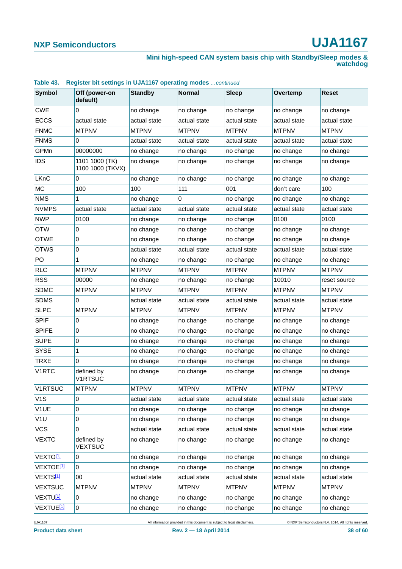#### **Mini high-speed CAN system basis chip with Standby/Sleep modes & watchdog**

| <b>Symbol</b>           | Off (power-on<br>default)          | <b>Standby</b> | <b>Normal</b> | <b>Sleep</b> | Overtemp     | <b>Reset</b> |
|-------------------------|------------------------------------|----------------|---------------|--------------|--------------|--------------|
| <b>CWE</b>              | 0                                  | no change      | no change     | no change    | no change    | no change    |
| <b>ECCS</b>             | actual state                       | actual state   | actual state  | actual state | actual state | actual state |
| <b>FNMC</b>             | <b>MTPNV</b>                       | <b>MTPNV</b>   | <b>MTPNV</b>  | <b>MTPNV</b> | <b>MTPNV</b> | <b>MTPNV</b> |
| <b>FNMS</b>             | 0                                  | actual state   | actual state  | actual state | actual state | actual state |
| GPMn                    | 00000000                           | no change      | no change     | no change    | no change    | no change    |
| <b>IDS</b>              | 1101 1000 (TK)<br>1100 1000 (TKVX) | no change      | no change     | no change    | no change    | no change    |
| LKnC                    | 0                                  | no change      | no change     | no change    | no change    | no change    |
| МC                      | 100                                | 100            | 111           | 001          | don't care   | 100          |
| <b>NMS</b>              | 1                                  | no change      | 0             | no change    | no change    | no change    |
| <b>NVMPS</b>            | actual state                       | actual state   | actual state  | actual state | actual state | actual state |
| <b>NWP</b>              | 0100                               | no change      | no change     | no change    | 0100         | 0100         |
| <b>OTW</b>              | 0                                  | no change      | no change     | no change    | no change    | no change    |
| <b>OTWE</b>             | 0                                  | no change      | no change     | no change    | no change    | no change    |
| OTWS                    | 0                                  | actual state   | actual state  | actual state | actual state | actual state |
| PO                      | 1                                  | no change      | no change     | no change    | no change    | no change    |
| <b>RLC</b>              | <b>MTPNV</b>                       | <b>MTPNV</b>   | <b>MTPNV</b>  | <b>MTPNV</b> | <b>MTPNV</b> | <b>MTPNV</b> |
| <b>RSS</b>              | 00000                              | no change      | no change     | no change    | 10010        | reset source |
| <b>SDMC</b>             | <b>MTPNV</b>                       | <b>MTPNV</b>   | <b>MTPNV</b>  | <b>MTPNV</b> | <b>MTPNV</b> | <b>MTPNV</b> |
| <b>SDMS</b>             | 0                                  | actual state   | actual state  | actual state | actual state | actual state |
| <b>SLPC</b>             | <b>MTPNV</b>                       | <b>MTPNV</b>   | <b>MTPNV</b>  | <b>MTPNV</b> | <b>MTPNV</b> | <b>MTPNV</b> |
| <b>SPIF</b>             | 0                                  | no change      | no change     | no change    | no change    | no change    |
| <b>SPIFE</b>            | 0                                  | no change      | no change     | no change    | no change    | no change    |
| <b>SUPE</b>             | 0                                  | no change      | no change     | no change    | no change    | no change    |
| <b>SYSE</b>             | 1                                  | no change      | no change     | no change    | no change    | no change    |
| <b>TRXE</b>             | 0                                  | no change      | no change     | no change    | no change    | no change    |
| <b>V1RTC</b>            | defined by<br><b>V1RTSUC</b>       | no change      | no change     | no change    | no change    | no change    |
| <b>V1RTSUC</b>          | <b>MTPNV</b>                       | <b>MTPNV</b>   | <b>MTPNV</b>  | <b>MTPNV</b> | <b>MTPNV</b> | <b>MTPNV</b> |
| V1S                     | 0                                  | actual state   | actual state  | actual state | actual state | actual state |
| V1UE                    | 0                                  | no change      | no change     | no change    | no change    | no change    |
| V1U                     | 0                                  | no change      | no change     | no change    | no change    | no change    |
| <b>VCS</b>              | 0                                  | actual state   | actual state  | actual state | actual state | actual state |
| <b>VEXTC</b>            | defined by<br><b>VEXTSUC</b>       | no change      | no change     | no change    | no change    | no change    |
| VEXTO <sup>[1]</sup>    | 0                                  | no change      | no change     | no change    | no change    | no change    |
| VEXTOE <mark>[1]</mark> | 0                                  | no change      | no change     | no change    | no change    | no change    |
| VEXTS <mark>[1]</mark>  | 00                                 | actual state   | actual state  | actual state | actual state | actual state |
| <b>VEXTSUC</b>          | <b>MTPNV</b>                       | <b>MTPNV</b>   | <b>MTPNV</b>  | <b>MTPNV</b> | <b>MTPNV</b> | <b>MTPNV</b> |
| VEXTU <u>[1]</u>        | 0                                  | no change      | no change     | no change    | no change    | no change    |
| VEXTUE <mark>[1]</mark> | 0                                  | no change      | no change     | no change    | no change    | no change    |

#### **Table 43. Register bit settings in UJA1167 operating modes** *…continued*

UJA1167 All information provided in this document is subject to legal disclaimers. © NXP Semiconductors N.V. 2014. All rights reserved.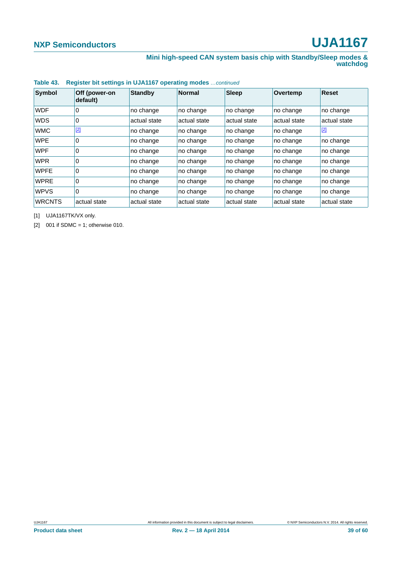#### **Mini high-speed CAN system basis chip with Standby/Sleep modes & watchdog**

| Symbol        | Off (power-on<br>default) | <b>Standby</b> | <b>Normal</b> | <b>Sleep</b> | Overtemp     | <b>Reset</b> |
|---------------|---------------------------|----------------|---------------|--------------|--------------|--------------|
| <b>WDF</b>    | 0                         | no change      | no change     | no change    | no change    | no change    |
| <b>WDS</b>    | 0                         | actual state   | actual state  | actual state | actual state | actual state |
| <b>WMC</b>    | $[2]$                     | no change      | no change     | no change    | no change    | $[2]$        |
| <b>WPE</b>    | 0                         | no change      | no change     | no change    | no change    | no change    |
| <b>WPF</b>    | 0                         | no change      | no change     | no change    | no change    | no change    |
| <b>WPR</b>    | 0                         | no change      | no change     | no change    | no change    | no change    |
| <b>WPFE</b>   | 0                         | no change      | no change     | no change    | no change    | no change    |
| <b>WPRE</b>   | 0                         | no change      | no change     | no change    | no change    | no change    |
| <b>WPVS</b>   | 0                         | no change      | no change     | no change    | no change    | no change    |
| <b>WRCNTS</b> | actual state              | actual state   | actual state  | actual state | actual state | actual state |

#### **Table 43. Register bit settings in UJA1167 operating modes** *…continued*

<span id="page-38-0"></span>[1] UJA1167TK/VX only.

<span id="page-38-1"></span>[2]  $001$  if SDMC = 1; otherwise 010.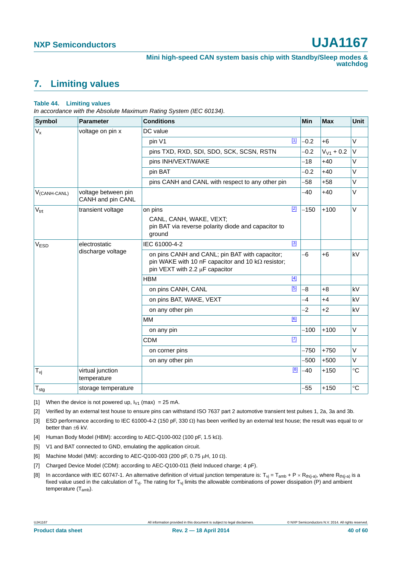### <span id="page-39-8"></span>**7. Limiting values**

#### **Table 44. Limiting values**

*In accordance with the Absolute Maximum Rating System (IEC 60134).*

| Symbol                   | <b>Parameter</b>                         | <b>Conditions</b>                                                                                                                            |             | Min    | <b>Max</b>     | Unit        |
|--------------------------|------------------------------------------|----------------------------------------------------------------------------------------------------------------------------------------------|-------------|--------|----------------|-------------|
| $V_{x}$                  | voltage on pin x                         | DC value                                                                                                                                     |             |        |                |             |
|                          |                                          | pin V1                                                                                                                                       | $\boxed{1}$ | $-0.2$ | $+6$           | $\vee$      |
|                          |                                          | pins TXD, RXD, SDI, SDO, SCK, SCSN, RSTN                                                                                                     |             | $-0.2$ | $V_{V1}$ + 0.2 | $\vee$      |
|                          |                                          | pins INH/VEXT/WAKE                                                                                                                           |             | $-18$  | $+40$          | V           |
|                          |                                          | pin BAT                                                                                                                                      |             | $-0.2$ | $+40$          | V           |
|                          |                                          | pins CANH and CANL with respect to any other pin                                                                                             |             | $-58$  | $+58$          | V           |
| V <sub>(CANH-CANL)</sub> | voltage between pin<br>CANH and pin CANL |                                                                                                                                              |             | $-40$  | $+40$          | V           |
| $V_{\text{trt}}$         | transient voltage                        | on pins                                                                                                                                      | $[2]$       | $-150$ | $+100$         | V           |
|                          |                                          | CANL, CANH, WAKE, VEXT;<br>pin BAT via reverse polarity diode and capacitor to<br>ground                                                     |             |        |                |             |
| V <sub>ESD</sub>         | electrostatic                            | IEC 61000-4-2                                                                                                                                | $[3]$       |        |                |             |
|                          | discharge voltage                        | on pins CANH and CANL; pin BAT with capacitor;<br>pin WAKE with 10 nF capacitor and 10 $k\Omega$ resistor;<br>pin VEXT with 2.2 µF capacitor |             | $-6$   | $+6$           | kV          |
|                          |                                          | <b>HBM</b>                                                                                                                                   | $[4]$       |        |                |             |
|                          |                                          | on pins CANH, CANL                                                                                                                           | [5]         | $-8$   | $+8$           | kV          |
|                          |                                          | on pins BAT, WAKE, VEXT                                                                                                                      |             | $-4$   | $+4$           | kV          |
|                          |                                          | on any other pin                                                                                                                             |             | $-2$   | $+2$           | kV          |
|                          |                                          | <b>MM</b>                                                                                                                                    | [6]         |        |                |             |
|                          |                                          | on any pin                                                                                                                                   |             | $-100$ | $+100$         | $\vee$      |
|                          |                                          | <b>CDM</b>                                                                                                                                   | $[7]$       |        |                |             |
|                          |                                          | on corner pins                                                                                                                               |             | $-750$ | $+750$         | V           |
|                          |                                          | on any other pin                                                                                                                             |             | $-500$ | $+500$         | V           |
| $T_{\nu i}$              | virtual junction<br>temperature          |                                                                                                                                              | [8]         | $-40$  | $+150$         | $^{\circ}C$ |
| $T_{\text{stg}}$         | storage temperature                      |                                                                                                                                              |             | $-55$  | $+150$         | $^{\circ}C$ |

<span id="page-39-0"></span>[1] When the device is not powered up,  $I_{V1}$  (max) = 25 mA.

<span id="page-39-1"></span>[2] Verified by an external test house to ensure pins can withstand ISO 7637 part 2 automotive transient test pulses 1, 2a, 3a and 3b.

<span id="page-39-2"></span>[3] ESD performance according to IEC 61000-4-2 (150 pF, 330  $\Omega$ ) has been verified by an external test house; the result was equal to or better than  $\pm 6$  kV.

- <span id="page-39-3"></span>[4] Human Body Model (HBM): according to AEC-Q100-002 (100 pF, 1.5 k $\Omega$ ).
- <span id="page-39-4"></span>[5] V1 and BAT connected to GND, emulating the application circuit.
- <span id="page-39-5"></span>[6] Machine Model (MM): according to AEC-Q100-003 (200 pF, 0.75  $\mu$ H, 10  $\Omega$ ).
- <span id="page-39-6"></span>[7] Charged Device Model (CDM): according to AEC-Q100-011 (field Induced charge; 4 pF).
- <span id="page-39-7"></span>[8] In accordance with IEC 60747-1. An alternative definition of virtual junction temperature is:  $T_{vi} = T_{amb} + P \times R_{th(i-a)}$ , where  $R_{th(i-a)}$  is a fixed value used in the calculation of T<sub>vj</sub>. The rating for T<sub>vj</sub> limits the allowable combinations of power dissipation (P) and ambient temperature (Tamb).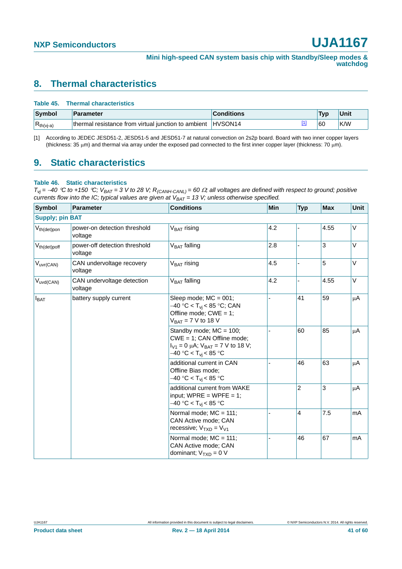### <span id="page-40-2"></span>**8. Thermal characteristics**

#### **Table 45. Thermal characteristics**

| Symbol         | Parameter                                           | <b>Conditions</b>   | Tvn | Unit |
|----------------|-----------------------------------------------------|---------------------|-----|------|
| $R_{th(vj-a)}$ | thermal resistance from virtual junction to ambient | HVSON <sub>14</sub> | 60  | K/W  |

<span id="page-40-1"></span>[1] According to JEDEC JESD51-2, JESD51-5 and JESD51-7 at natural convection on 2s2p board. Board with two inner copper layers (thickness: 35  $\mu$ m) and thermal via array under the exposed pad connected to the first inner copper layer (thickness: 70  $\mu$ m).

### <span id="page-40-3"></span>**9. Static characteristics**

#### <span id="page-40-0"></span>**Table 46. Static characteristics**

 $T_{Vj}$  = -40 °C to +150 °C;  $V_{BAT}$  = 3 V to 28 V;  $R_{(CAMH-CANL)}$  = 60  $\Omega$ ; all voltages are defined with respect to ground; positive *currents flow into the IC; typical values are given at*  $V_{BAT} = 13$  *V; unless otherwise specified.* 

| <b>Symbol</b>          | Parameter                                | <b>Conditions</b>                                                                                                                  | Min | <b>Typ</b>               | <b>Max</b> | Unit   |
|------------------------|------------------------------------------|------------------------------------------------------------------------------------------------------------------------------------|-----|--------------------------|------------|--------|
| <b>Supply; pin BAT</b> |                                          |                                                                                                                                    |     |                          |            |        |
| $V_{th(det)pon}$       | power-on detection threshold<br>voltage  | $VBAT$ rising                                                                                                                      | 4.2 |                          | 4.55       | V      |
| $V_{th(det)pdf}$       | power-off detection threshold<br>voltage | V <sub>BAT</sub> falling                                                                                                           | 2.8 | $\overline{\phantom{a}}$ | 3          | V      |
| V <sub>uvr(CAN)</sub>  | CAN undervoltage recovery<br>voltage     | $V_{BAT}$ rising                                                                                                                   | 4.5 |                          | 5          | $\vee$ |
| $V_{uvd(CAN)}$         | CAN undervoltage detection<br>voltage    | $VBAT$ falling                                                                                                                     | 4.2 |                          | 4.55       | V      |
| $I_{BAT}$              | battery supply current                   | Sleep mode; $MC = 001$ ;<br>–40 °C < T <sub>vi</sub> < 85 °C; CAN<br>Offline mode; $CWE = 1$ ;<br>$V_{BAT} = 7 V$ to 18 V          |     | 41                       | 59<br>85   | μA     |
|                        |                                          | Standby mode; $MC = 100$ ;<br>CWE = 1; CAN Offline mode;<br>$I_{V1} = 0$ µA; $V_{BAT} = 7$ V to 18 V;<br>$-40 °C < T_{vi}$ < 85 °C |     | 60                       |            | μA     |
|                        |                                          | additional current in CAN<br>Offline Bias mode;<br>–40 °C < T <sub>vi</sub> < 85 °C                                                |     | 46                       | 63         | μA     |
|                        |                                          | additional current from WAKE<br>input; WPRE = WPFE = 1;<br>–40 °C < T <sub>vi</sub> < 85 °C                                        |     | $\overline{2}$           | 3          | μA     |
|                        |                                          | Normal mode; MC = 111;<br>CAN Active mode; CAN<br>recessive; $V_{TXD} = V_{V1}$                                                    |     | 4                        | 7.5        | mA     |
|                        |                                          | Normal mode; MC = 111;<br>CAN Active mode; CAN<br>dominant; $V_{TXD} = 0 V$                                                        |     | 46                       | 67         | mA     |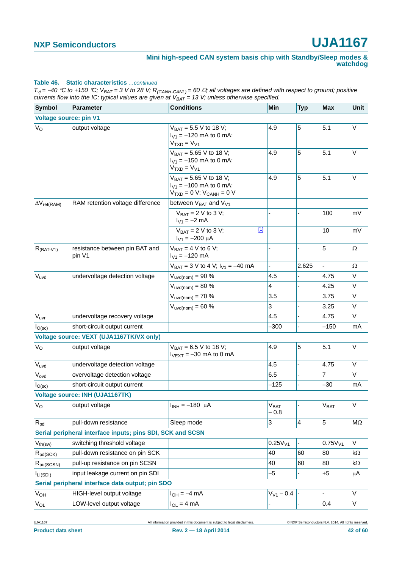#### **Table 46. Static characteristics** *…continued*

 $T_{vj}$  = -40 °C to +150 °C;  $V_{BAT}$  = 3 V to 28 V;  $R_{(CAMH-CANL)}$  = 60  $\Omega$ ; all voltages are defined with respect to ground; positive *currents flow into the IC; typical values are given at*  $V_{BAT} = 13$  *V; unless otherwise specified.* 

| <b>Symbol</b>                 | <b>Parameter</b>                                           | <b>Conditions</b>                                                                       | Min                            | <b>Typ</b>     | <b>Max</b>                  | Unit      |
|-------------------------------|------------------------------------------------------------|-----------------------------------------------------------------------------------------|--------------------------------|----------------|-----------------------------|-----------|
| <b>Voltage source: pin V1</b> |                                                            |                                                                                         |                                |                |                             |           |
| $V_{\rm O}$                   | output voltage                                             | $V_{BAT} = 5.5 V$ to 18 V;<br>$I_{V1} = -120$ mA to 0 mA;<br>$VTXD = VV1$               | 4.9                            | 5              | 5.1                         | V         |
|                               |                                                            | $V_{BAT} = 5.65 V$ to 18 V;<br>$I_{V1} = -150$ mA to 0 mA;<br>$VTXD = VV1$              | 4.9                            | 5              | 5.1                         | V         |
|                               |                                                            | $V_{BAT} = 5.65 V$ to 18 V;<br>$I_{V1} = -100$ mA to 0 mA;<br>$VTXD = 0 V; VCANH = 0 V$ | 4.9                            | 5              | 5.1                         | $\vee$    |
| $\Delta V_{ret(RAM)}$         | RAM retention voltage difference                           | between $V_{BAT}$ and $V_{V1}$                                                          |                                |                |                             |           |
|                               |                                                            | $V_{BAT} = 2 V$ to 3 V;<br>$I_{V1} = -2$ mA                                             |                                |                | 100                         | mV        |
|                               |                                                            | $[1]$<br>$V_{BAT} = 2 V$ to 3 V;<br>$I_{V1} = -200 \mu A$                               |                                |                | 10                          | mV        |
| $R_{(BAT-V1)}$                | resistance between pin BAT and<br>pin V1                   | $V_{BAT} = 4 V$ to 6 V;<br>$I_{V1} = -120$ mA                                           |                                |                | 5                           | $\Omega$  |
|                               |                                                            | $V_{BAT} = 3 V$ to 4 V; $I_{V1} = -40$ mA                                               |                                | 2.625          |                             | Ω         |
| $V_{uvd}$                     | undervoltage detection voltage                             | $V_{uvd(nom)} = 90\%$                                                                   | 4.5                            |                | 4.75                        | V         |
|                               |                                                            | $V_{uvd(nom)} = 80%$                                                                    | 4                              |                | 4.25                        | V         |
|                               |                                                            | $V_{uvd(nom)} = 70 \%$                                                                  | 3.5                            |                | 3.75                        | V         |
|                               |                                                            | $V_{uvd(nom)} = 60 \%$                                                                  | 3                              |                | 3.25                        | V         |
| V <sub>uvr</sub>              | undervoltage recovery voltage                              |                                                                                         | 4.5                            |                | 4.75                        | V         |
| I <sub>O</sub> (sc)           | short-circuit output current                               |                                                                                         | $-300$                         |                | $-150$                      | mA        |
|                               | Voltage source: VEXT (UJA1167TK/VX only)                   |                                                                                         |                                |                |                             |           |
| V <sub>o</sub>                | output voltage                                             | $V_{BAT} = 6.5 V$ to 18 V;<br>$I_{\text{VEXT}} = -30$ mA to 0 mA                        | 4.9                            | 5              | 5.1                         | $\vee$    |
| Vuvd                          | undervoltage detection voltage                             |                                                                                         | 4.5                            |                | 4.75                        | V         |
| Vovd                          | overvoltage detection voltage                              |                                                                                         | 6.5                            |                | 7                           | V         |
| I <sub>O</sub> (sc)           | short-circuit output current                               |                                                                                         | $-125$                         | ÷.             | -30                         | mA        |
|                               | Voltage source: INH (UJA1167TK)                            |                                                                                         |                                |                |                             |           |
| $ V_{\rm O} $                 | output voltage                                             | $I_{INH} = -180 \mu A$                                                                  | $\overline{V}_{BAT}$<br>$-0.8$ |                | $\bar{\mid V}_{\text{BAT}}$ | V         |
| $R_{pd}$                      | pull-down resistance                                       | Sleep mode                                                                              | 3                              | 4              | 5                           | $M\Omega$ |
|                               | Serial peripheral interface inputs; pins SDI, SCK and SCSN |                                                                                         |                                |                |                             |           |
| $V_{th(sw)}$                  | switching threshold voltage                                |                                                                                         | 0.25V <sub>V1</sub>            |                | 0.75V <sub>V1</sub>         | V         |
| $R_{pd(SCK)}$                 | pull-down resistance on pin SCK                            |                                                                                         | 40                             | 60             | 80                          | kΩ        |
| $R_{pu(SCSN)}$                | pull-up resistance on pin SCSN                             |                                                                                         | 40                             | 60             | 80                          | kΩ        |
| I <sub>LI(SDI)</sub>          | input leakage current on pin SDI                           |                                                                                         | -5                             |                | $+5$                        | μA        |
|                               | Serial peripheral interface data output; pin SDO           |                                                                                         |                                |                |                             |           |
| $V_{OH}$                      | HIGH-level output voltage                                  | $I_{OH} = -4$ mA                                                                        | $V_{V1} - 0.4$                 |                |                             | V         |
| $V_{OL}$                      | LOW-level output voltage                                   | $I_{OL} = 4 mA$                                                                         |                                | $\blacksquare$ | 0.4                         | V         |

UJA1167 All information provided in this document is subject to legal disclaimers. © NXP Semiconductors N.V. 2014. All rights reserved.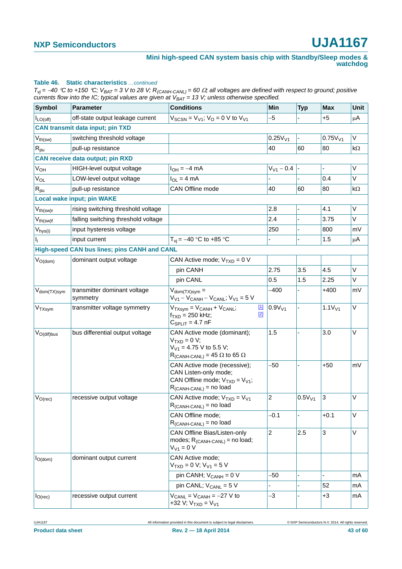#### **Table 46. Static characteristics** *…continued*

 $T_{vj}$  = -40 °C to +150 °C;  $V_{BAT}$  = 3 V to 28 V;  $R_{(CAMH-CANL)}$  = 60  $\Omega$ ; all voltages are defined with respect to ground; positive *currents flow into the IC; typical values are given at*  $V_{BAT} = 13$  *V; unless otherwise specified.* 

| Symbol                                  | <b>Parameter</b>                             | <b>Conditions</b>                                                                                                              | Min                 | <b>Typ</b>         | <b>Max</b>          | Unit      |
|-----------------------------------------|----------------------------------------------|--------------------------------------------------------------------------------------------------------------------------------|---------------------|--------------------|---------------------|-----------|
| $I_{LO(off)}$                           | off-state output leakage current             | $V_{SCSN} = V_{V1}$ ; $V_{O} = 0$ V to $V_{V1}$                                                                                | $-5$                |                    | $+5$                | μA        |
|                                         | <b>CAN transmit data input; pin TXD</b>      |                                                                                                                                |                     |                    |                     |           |
| $\mathsf{V}_{\mathsf{th}(\mathsf{sw})}$ | switching threshold voltage                  |                                                                                                                                | 0.25V <sub>V1</sub> |                    | 0.75V <sub>V1</sub> | V         |
| $R_{pu}$                                | pull-up resistance                           |                                                                                                                                | 40                  | 60                 | 80                  | $k\Omega$ |
|                                         | <b>CAN receive data output; pin RXD</b>      |                                                                                                                                |                     |                    |                     |           |
| V <sub>OH</sub>                         | HIGH-level output voltage                    | $I_{OH} = -4$ mA                                                                                                               | $V_{V1}$ – 0.4      |                    |                     | $\vee$    |
| V <sub>OL</sub>                         | LOW-level output voltage                     | $I_{OL} = 4 mA$                                                                                                                |                     |                    | 0.4                 | V         |
| $R_{\text{pu}}$                         | pull-up resistance                           | CAN Offline mode                                                                                                               | 40                  | 60                 | 80                  | kΩ        |
|                                         | <b>Local wake input; pin WAKE</b>            |                                                                                                                                |                     |                    |                     |           |
| $V_{th(sw)r}$                           | rising switching threshold voltage           |                                                                                                                                | 2.8                 |                    | 4.1                 | V         |
| $V_{th(sw)f}$                           | falling switching threshold voltage          |                                                                                                                                | 2.4                 |                    | 3.75                | V         |
| V <sub>hys(i)</sub>                     | input hysteresis voltage                     |                                                                                                                                | 250                 |                    | 800                 | mV        |
| Ιĵ.                                     | input current                                | $T_{vi} = -40$ °C to +85 °C                                                                                                    |                     |                    | 1.5                 | μA        |
|                                         | High-speed CAN bus lines; pins CANH and CANL |                                                                                                                                |                     |                    |                     |           |
| $V_{O(dom)}$                            | dominant output voltage                      | CAN Active mode; $V_{TXD} = 0 V$                                                                                               |                     |                    |                     |           |
|                                         |                                              | pin CANH                                                                                                                       | 2.75                | 3.5                | 4.5                 | V         |
|                                         |                                              | pin CANL                                                                                                                       | 0.5                 | 1.5                | 2.25                | V         |
| V <sub>dom</sub> (TX)sym                | transmitter dominant voltage<br>symmetry     | $V_{\text{dom}(TX)sym} =$<br>$V_{V1} - V_{CANH} - V_{CANL}$ ; $V_{V1} = 5 V$                                                   | $-400$              |                    | $+400$              | mV        |
| V <sub>TXsym</sub>                      | transmitter voltage symmetry                 | $\boxed{1}$<br>$V_{TXsym} = V_{CANH} + V_{CANL}$<br>$[2]$<br>$f_{TXD} = 250$ kHz;<br>$C_{SPLIT} = 4.7$ nF                      | 0.9V <sub>V1</sub>  |                    | 1.1V <sub>V1</sub>  | V         |
| $V_{O(dif)bus}$                         | bus differential output voltage              | CAN Active mode (dominant);<br>$VTXD = 0 V;$<br>$V_{V1}$ = 4.75 V to 5.5 V;<br>$R_{(CANH-CANL)} = 45 \Omega$ to 65 $\Omega$    | 1.5                 |                    | 3.0                 | V         |
|                                         |                                              | CAN Active mode (recessive);<br>CAN Listen-only mode;<br>CAN Offline mode; $V_{TXD} = V_{V1}$ ;<br>$R_{(CANH-CANL)}$ = no load | $-50$               |                    | $+50$               | mV        |
| $V_{O(rec)}$                            | recessive output voltage                     | CAN Active mode; $V_{TXD} = V_{V1}$<br>$R_{(CANH-CANL)}$ = no load                                                             | 2                   | 0.5V <sub>V1</sub> | 3                   | V         |
|                                         |                                              | CAN Offline mode;<br>$R_{(CANH-CANL)}$ = no load                                                                               | $-0.1$              | ÷,                 | $+0.1$              | V         |
|                                         |                                              | CAN Offline Bias/Listen-only<br>modes; $R_{(CANH-CANL)}$ = no load;<br>$V_{V1} = 0 V$                                          | $\overline{2}$      | 2.5                | 3                   | V         |
| $I_{O(dom)}$                            | dominant output current                      | CAN Active mode;<br>$VTXD = 0 V; VV1 = 5 V$                                                                                    |                     |                    |                     |           |
|                                         |                                              | pin CANH; $V_{CANH} = 0 V$                                                                                                     | $-50$               |                    |                     | mA        |
|                                         |                                              | pin CANL; $V_{CANL} = 5 V$                                                                                                     |                     |                    | 52                  | mA        |
| $I_{O(rec)}$                            | recessive output current                     | $V_{CANL}$ = $V_{CANH}$ = -27 V to<br>+32 V; $V_{TXD} = V_{V1}$                                                                | -3                  |                    | $+3$                | mA        |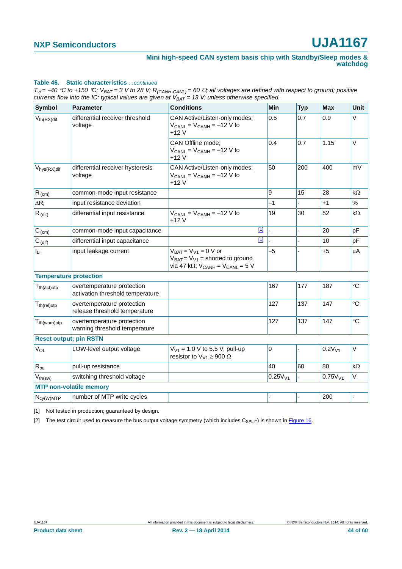#### **Table 46. Static characteristics** *…continued*

 $T_{vj}$  = -40 °C to +150 °C;  $V_{BAT}$  = 3 V to 28 V;  $R_{(CAMH-CANL)}$  = 60  $\Omega$ ; all voltages are defined with respect to ground; positive *currents flow into the IC; typical values are given at*  $V_{BAT} = 13$  *V; unless otherwise specified.* 

| <b>Symbol</b>                  | <b>Parameter</b>                                               | <b>Conditions</b>                                                                                                                               | Min                 | <b>Typ</b> | <b>Max</b>   | Unit          |
|--------------------------------|----------------------------------------------------------------|-------------------------------------------------------------------------------------------------------------------------------------------------|---------------------|------------|--------------|---------------|
| $V_{th(RX)dif}$                | differential receiver threshold<br>voltage                     | CAN Active/Listen-only modes;<br>$V_{CANL}$ = $V_{CANH}$ = -12 V to<br>+12 V                                                                    | 0.5                 | 0.7        | 0.9          | $\vee$        |
|                                |                                                                | CAN Offline mode;<br>$V_{CANL}$ = $V_{CANH}$ = -12 V to<br>$+12V$                                                                               | 0.4                 | 0.7        | 1.15         | $\vee$        |
| $V_{\text{hys}(RX)$ dif        | differential receiver hysteresis<br>voltage                    | CAN Active/Listen-only modes;<br>$V_{CANL} = V_{CANH} = -12 V$ to<br>$+12V$                                                                     | 50                  | 200        | 400          | mV            |
| $R_{i(cm)}$                    | common-mode input resistance                                   |                                                                                                                                                 | 9                   | 15         | 28           | $k\Omega$     |
| $\Delta R_i$                   | input resistance deviation                                     |                                                                                                                                                 | $-1$                |            | $+1$         | $\frac{1}{2}$ |
| $ R_{i(\text{dif})}$           | differential input resistance                                  | $V_{CANL}$ = $V_{CANH}$ = -12 V to<br>+12 V                                                                                                     | 19                  | 30         | 52           | $k\Omega$     |
| $C_{i(cm)}$                    | common-mode input capacitance                                  | $\boxed{11}$                                                                                                                                    |                     |            | 20           | pF            |
| $C_{i\left(\text{dif}\right)}$ | differential input capacitance                                 | $\boxed{11}$                                                                                                                                    |                     |            | 10           | pF            |
| Īц                             | input leakage current                                          | $V_{BAT} = V_{V1} = 0 V$ or<br>$V_{\text{BAT}} = V_{V1}$ = shorted to ground<br>via 47 k $\Omega$ ; V <sub>CANH</sub> = V <sub>CANL</sub> = 5 V | $-5$                |            | $+5$         | μA            |
| <b>Temperature protection</b>  |                                                                |                                                                                                                                                 |                     |            |              |               |
| $T_{th (act)otp}$              | overtemperature protection<br>activation threshold temperature |                                                                                                                                                 | 167                 | 177        | 187          | $^{\circ}C$   |
| $T_{th (rel)otp}$              | overtemperature protection<br>release threshold temperature    |                                                                                                                                                 | 127                 | 137        | 147          | $\circ$ C     |
| $T_{th(warn)otp}$              | overtemperature protection<br>warning threshold temperature    |                                                                                                                                                 | 127                 | 137        | 147          | $^{\circ}C$   |
| <b>Reset output; pin RSTN</b>  |                                                                |                                                                                                                                                 |                     |            |              |               |
| $V_{OL}$                       | LOW-level output voltage                                       | $V_{V1}$ = 1.0 V to 5.5 V; pull-up<br>resistor to $V_{V1} \ge 900 \Omega$                                                                       | $\mathbf 0$         |            | $0.2V_{V1}$  | $\vee$        |
| $R_{pu}$                       | pull-up resistance                                             |                                                                                                                                                 | 40                  | 60         | 80           | $k\Omega$     |
| $V_{th(sw)}$                   | switching threshold voltage                                    |                                                                                                                                                 | 0.25V <sub>V1</sub> |            | $0.75V_{V1}$ | V             |
|                                | <b>MTP non-volatile memory</b>                                 |                                                                                                                                                 |                     |            |              |               |
| $N_{cy(W)MTP}$                 | number of MTP write cycles                                     |                                                                                                                                                 |                     |            | 200          |               |

<span id="page-43-0"></span>[1] Not tested in production; guaranteed by design.

<span id="page-43-1"></span>[2] The test circuit used to measure the bus output voltage symmetry (which includes  $C_{SPLIT}$ ) is shown in [Figure 16](#page-50-0).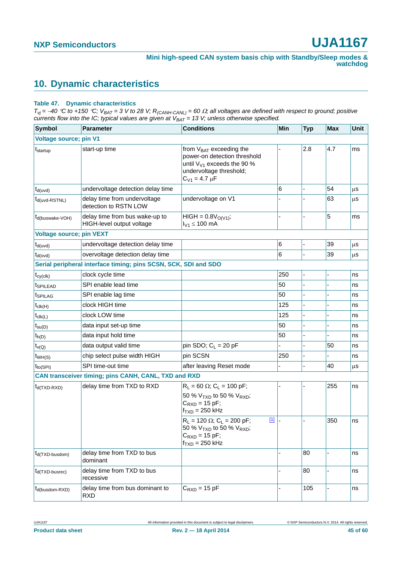## <span id="page-44-1"></span>**10. Dynamic characteristics**

#### <span id="page-44-0"></span>**Table 47. Dynamic characteristics**

 $T_{Vj}$  = -40 °C to +150 °C;  $V_{BAT}$  = 3 V to 28 V; R<sub>(CANH-CANL)</sub> = 60  $\Omega$ ; all voltages are defined with respect to ground; positive *currents flow into the IC; typical values are given at VBAT = 13 V; unless otherwise specified.*

| <b>Symbol</b>                   | <b>Parameter</b>                                                | <b>Conditions</b>                                                                                                                                         | Min   | <b>Typ</b>     | <b>Max</b>    | <b>Unit</b> |
|---------------------------------|-----------------------------------------------------------------|-----------------------------------------------------------------------------------------------------------------------------------------------------------|-------|----------------|---------------|-------------|
| <b>Voltage source; pin V1</b>   |                                                                 |                                                                                                                                                           |       |                |               |             |
| t <sub>startup</sub>            | start-up time                                                   | from V <sub>BAT</sub> exceeding the<br>power-on detection threshold<br>until $V_{V1}$ exceeds the 90 %<br>undervoltage threshold;<br>$C_{V1} = 4.7 \mu F$ |       | 2.8            | 4.7           | ms          |
| $t_{d(uvd)}$                    | undervoltage detection delay time                               |                                                                                                                                                           | 6     |                | 54            | μS          |
| $t_{d(uvd-RSTNL)}$              | delay time from undervoltage<br>detection to RSTN LOW           | undervoltage on V1                                                                                                                                        |       |                | 63            | μS          |
| $t_{d(buswake-VOH)}$            | delay time from bus wake-up to<br>HIGH-level output voltage     | $HIGH = 0.8VO(V1);$<br>$I_{V1} \le 100$ mA                                                                                                                |       |                | 5             | ms          |
| <b>Voltage source; pin VEXT</b> |                                                                 |                                                                                                                                                           |       |                |               |             |
| $t_{d(uvd)}$                    | undervoltage detection delay time                               |                                                                                                                                                           | $\,6$ | ä,             | 39            | $\mu$ s     |
| $t_{d(ovd)}$                    | overvoltage detection delay time                                |                                                                                                                                                           | 6     |                | 39            | μS          |
|                                 | Serial peripheral interface timing; pins SCSN, SCK, SDI and SDO |                                                                                                                                                           |       |                |               |             |
| $t_{cy(clk)}$                   | clock cycle time                                                |                                                                                                                                                           | 250   |                |               | ns          |
| <i><b>ISPILEAD</b></i>          | SPI enable lead time                                            |                                                                                                                                                           | 50    |                |               | ns          |
| t <sub>SPILAG</sub>             | SPI enable lag time                                             |                                                                                                                                                           | 50    |                |               | ns          |
| $t_{\text{clk}(H)}$             | clock HIGH time                                                 |                                                                                                                                                           | 125   | $\overline{a}$ |               | ns          |
| $t_{\text{clk}(L)}$             | clock LOW time                                                  |                                                                                                                                                           | 125   |                |               | ns          |
| $t_{\text{su}(D)}$              | data input set-up time                                          |                                                                                                                                                           | 50    | $\overline{a}$ |               | ns          |
| $t_{h(D)}$                      | data input hold time                                            |                                                                                                                                                           | 50    |                |               | ns          |
| $t_{\nu(Q)}$                    | data output valid time                                          | pin SDO; $C_L$ = 20 pF                                                                                                                                    |       |                | 50            | ns          |
| $t_{WH(S)}$                     | chip select pulse width HIGH                                    | pin SCSN                                                                                                                                                  | 250   |                |               | ns          |
| $t_{\text{to(SPI)}}$            | SPI time-out time                                               | after leaving Reset mode                                                                                                                                  |       |                | 40            | μS          |
|                                 | CAN transceiver timing; pins CANH, CANL, TXD and RXD            |                                                                                                                                                           |       |                |               |             |
| $t_{d(TXD-RXD)}$                | delay time from TXD to RXD                                      | $R_L = 60 \Omega$ ; C <sub>L</sub> = 100 pF;                                                                                                              |       |                | 255           | ns          |
|                                 |                                                                 | 50 % V <sub>TXD</sub> to 50 % V <sub>RXD</sub> ;<br>$C_{RXD}$ = 15 pF;<br>$f_{TXD} = 250$ kHz                                                             |       |                |               |             |
|                                 |                                                                 | $[1]$<br>$R_L$ = 120 $\Omega$ ; C <sub>L</sub> = 200 pF;<br>50 % $V_{TXD}$ to 50 % $V_{RXD}$ ;<br>$C_{RXD} = 15$ pF;<br>$f_{TXD} = 250$ kHz               |       |                | 350           | ns          |
| $t_{d(TXD-busdom)}$             | delay time from TXD to bus<br>dominant                          |                                                                                                                                                           |       | 80             |               | ns          |
| $t_{d(TXD-busrec)}$             | delay time from TXD to bus<br>recessive                         |                                                                                                                                                           |       | 80             | ä,            | ns          |
| $t_{d(busdom-RXD)}$             | delay time from bus dominant to<br><b>RXD</b>                   | $C_{\text{RXD}} = 15$ pF                                                                                                                                  |       | 105            | $\frac{1}{2}$ | ns          |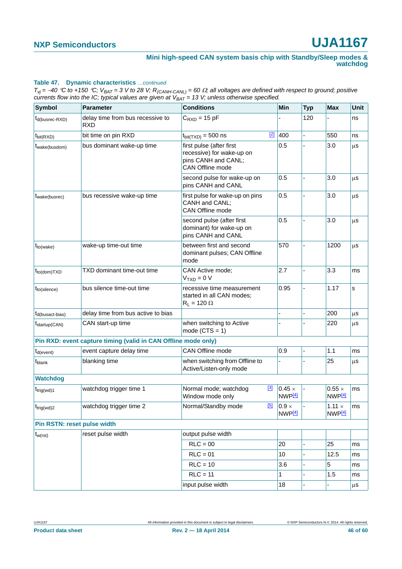#### **Table 47. Dynamic characteristics** *…continued*

 $T_{Vj}$  = -40 °C to +150 °C;  $V_{BAT}$  = 3 V to 28 V;  $R_{(CAMH-CANL)}$  = 60  $\Omega$ ; all voltages are defined with respect to ground; positive *currents flow into the IC; typical values are given at*  $V_{BAT} = 13$  *V; unless otherwise specified.* 

| <b>Symbol</b>                                | Parameter                                                      | <b>Conditions</b>                                                                                |       | Min                                 | <b>Typ</b>     | <b>Max</b>                          | Unit    |
|----------------------------------------------|----------------------------------------------------------------|--------------------------------------------------------------------------------------------------|-------|-------------------------------------|----------------|-------------------------------------|---------|
| $t_{d(busrec-RXD)}$                          | delay time from bus recessive to<br><b>RXD</b>                 | $C_{RXD} = 15 pF$                                                                                |       |                                     | 120            |                                     | ns      |
| $t_{\text{bit(RXD)}}$                        | bit time on pin RXD                                            | $t_{\text{bit(TXD)}} = 500$ ns                                                                   | $[2]$ | 400                                 |                | 550                                 | ns      |
| t <sub>wake</sub> (busdom)                   | bus dominant wake-up time                                      | first pulse (after first<br>recessive) for wake-up on<br>pins CANH and CANL;<br>CAN Offline mode |       | 0.5                                 |                | 3.0                                 | μS      |
|                                              |                                                                | second pulse for wake-up on<br>pins CANH and CANL                                                |       | 0.5                                 |                | 3.0                                 | μS      |
| t <sub>wake(busrec)</sub>                    | bus recessive wake-up time                                     | first pulse for wake-up on pins<br>CANH and CANL;<br>CAN Offline mode                            |       | 0.5                                 |                | 3.0                                 | μS      |
|                                              |                                                                | second pulse (after first<br>dominant) for wake-up on<br>pins CANH and CANL                      |       | 0.5                                 |                | 3.0                                 | μS      |
| $t_{to(wake)}$                               | wake-up time-out time                                          | between first and second<br>dominant pulses; CAN Offline<br>mode                                 |       | 570                                 |                | 1200                                | μS      |
| $t_{\text{to}(\text{dom})\text{T}X\text{D}}$ | TXD dominant time-out time                                     | CAN Active mode;<br>$VTXD = 0 V$                                                                 |       | 2.7                                 |                | 3.3                                 | ms      |
| $t_{to(silence)}$                            | bus silence time-out time                                      | recessive time measurement<br>started in all CAN modes;<br>$R_L = 120 \Omega$                    |       | 0.95                                |                | 1.17                                | s       |
| $t_{d(busact-bias)}$                         | delay time from bus active to bias                             |                                                                                                  |       |                                     |                | 200                                 | μS      |
| $t_{\text{startup}(CAN)}$                    | CAN start-up time                                              | when switching to Active<br>mode $(CTS = 1)$                                                     |       |                                     |                | 220                                 | μS      |
|                                              | Pin RXD: event capture timing (valid in CAN Offline mode only) |                                                                                                  |       |                                     |                |                                     |         |
| $t_{d(event)}$                               | event capture delay time                                       | CAN Offline mode                                                                                 |       | 0.9                                 |                | 1.1                                 | ms      |
| t <sub>blank</sub>                           | blanking time                                                  | when switching from Offline to<br>Active/Listen-only mode                                        |       |                                     |                | 25                                  | μS      |
| <b>Watchdog</b>                              |                                                                |                                                                                                  |       |                                     |                |                                     |         |
| $t_{\text{trig(wd)}1}$                       | watchdog trigger time 1                                        | Normal mode; watchdog<br>Window mode only                                                        | $[3]$ | $0.45 \times$<br>NWP <sub>[4]</sub> |                | $0.55 \times$<br>NWP <sub>[4]</sub> | ms      |
| $t_{\text{trig(wd)}2}$                       | watchdog trigger time 2                                        | Normal/Standby mode                                                                              | [5]   | $0.9 \times$<br>NWP <sup>[4]</sup>  |                | $1.11 \times$<br>NWP[4]             | ms      |
| Pin RSTN: reset pulse width                  |                                                                |                                                                                                  |       |                                     |                |                                     |         |
| $t_{w(rst)}$                                 | reset pulse width                                              | output pulse width                                                                               |       |                                     |                |                                     |         |
|                                              |                                                                | $RLC = 00$                                                                                       |       | 20                                  |                | 25                                  | ms      |
|                                              |                                                                | $RLC = 01$                                                                                       |       | 10                                  |                | 12.5                                | ms      |
|                                              |                                                                | $RLC = 10$                                                                                       |       | 3.6                                 | $\overline{a}$ | 5                                   | ms      |
|                                              |                                                                | $RLC = 11$                                                                                       |       | 1                                   |                | 1.5                                 | ms      |
|                                              |                                                                | input pulse width                                                                                |       | 18                                  |                |                                     | $\mu s$ |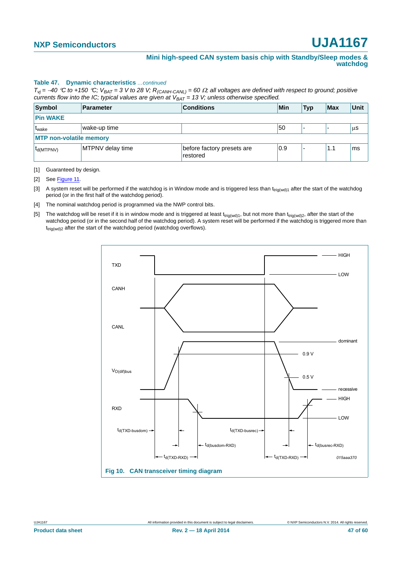#### **Table 47. Dynamic characteristics** *…continued*

 $T_{Vj}$  = -40 °C to +150 °C;  $V_{BAT}$  = 3 V to 28 V;  $R_{(CANH-CANL)}$  = 60  $\Omega$ ; all voltages are defined with respect to ground; positive *currents flow into the IC; typical values are given at*  $V_{BAT} = 13$  *V; unless otherwise specified.* 

| Symbol                           | <b>Parameter</b> | <b>Conditions</b>                      | <b>Min</b> | <b>Typ</b> | <b>Max</b> | Unit |
|----------------------------------|------------------|----------------------------------------|------------|------------|------------|------|
| <b>Pin WAKE</b>                  |                  |                                        |            |            |            |      |
| <sup>l</sup> t <sub>wake</sub>   | wake-up time     |                                        | 50         |            |            | µS   |
| <b>MTP non-volatile memory</b>   |                  |                                        |            |            |            |      |
| $t_{\mathsf{d}(\mathsf{MTPNV})}$ | MTPNV delay time | before factory presets are<br>restored | 0.9        | -          | 1.1        | lms  |

<span id="page-46-0"></span>[1] Guaranteed by design.

<span id="page-46-4"></span>[2] See [Figure 11.](#page-47-0)

<span id="page-46-1"></span>[3] A system reset will be performed if the watchdog is in Window mode and is triggered less than t<sub>trig(wd)1</sub> after the start of the watchdog period (or in the first half of the watchdog period).

<span id="page-46-2"></span>[4] The nominal watchdog period is programmed via the NWP control bits.

<span id="page-46-3"></span>[5] The watchdog will be reset if it is in window mode and is triggered at least t<sub>trig(wd)1</sub>, but not more than t<sub>trig(wd)2</sub>, after the start of the watchdog period (or in the second half of the watchdog period). A system reset will be performed if the watchdog is triggered more than t<sub>trig(wd)2</sub> after the start of the watchdog period (watchdog overflows).

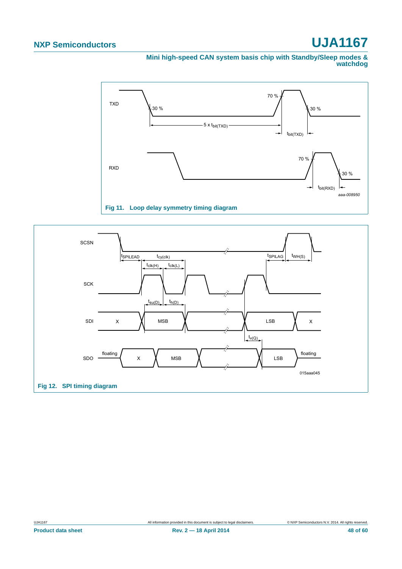#### **Mini high-speed CAN system basis chip with Standby/Sleep modes & watchdog**



<span id="page-47-0"></span>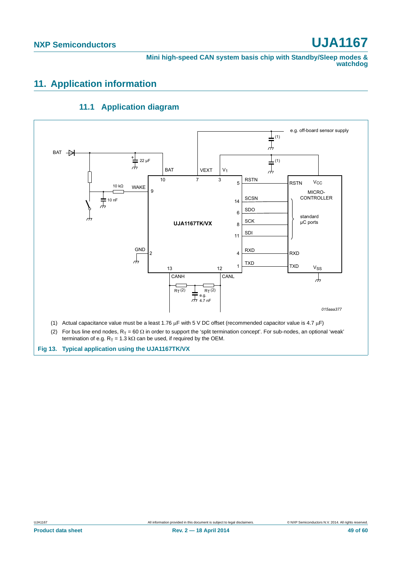**Mini high-speed CAN system basis chip with Standby/Sleep modes & watchdog**

### <span id="page-48-0"></span>**11. Application information**

<span id="page-48-1"></span>

### **11.1 Application diagram**

**Fig 13. Typical application using the UJA1167TK/VX**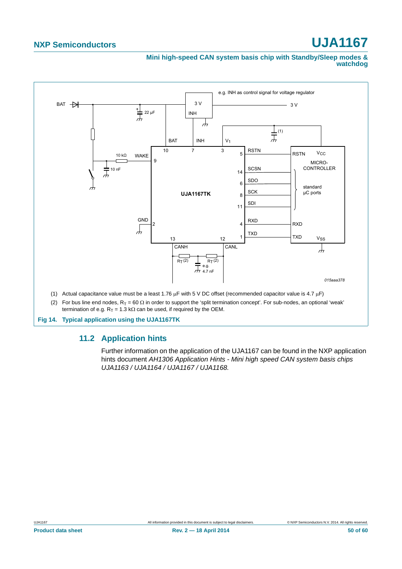**Mini high-speed CAN system basis chip with Standby/Sleep modes & watchdog**



- (2) For bus line end nodes,  $R_T = 60 \Omega$  in order to support the 'split termination concept'. For sub-nodes, an optional 'weak'
- termination of e.g.  $R_T = 1.3$  k $\Omega$  can be used, if required by the OEM.

<span id="page-49-0"></span>**Fig 14. Typical application using the UJA1167TK**

### **11.2 Application hints**

Further information on the application of the UJA1167 can be found in the NXP application hints document *AH1306 Application Hints - Mini high speed CAN system basis chips UJA1163 / UJA1164 / UJA1167 / UJA1168.*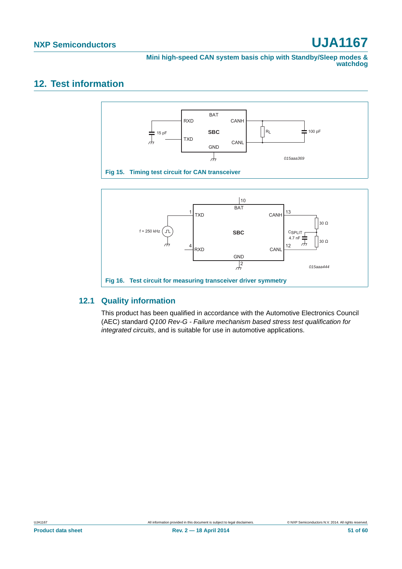**Mini high-speed CAN system basis chip with Standby/Sleep modes & watchdog**

### <span id="page-50-2"></span>**12. Test information**



### <span id="page-50-1"></span><span id="page-50-0"></span>**12.1 Quality information**

This product has been qualified in accordance with the Automotive Electronics Council (AEC) standard *Q100 Rev-G - Failure mechanism based stress test qualification for integrated circuits*, and is suitable for use in automotive applications.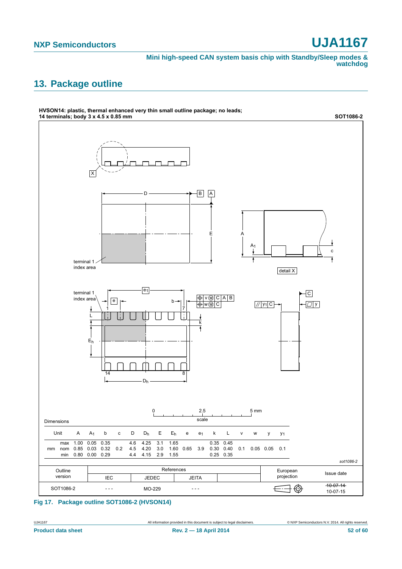**Mini high-speed CAN system basis chip with Standby/Sleep modes & watchdog**

### <span id="page-51-0"></span>**13. Package outline**



**Fig 17. Package outline SOT1086-2 (HVSON14)**

UJA1167 All information provided in this document is subject to legal disclaimers. © NXP Semiconductors N.V. 2014. All rights reserved.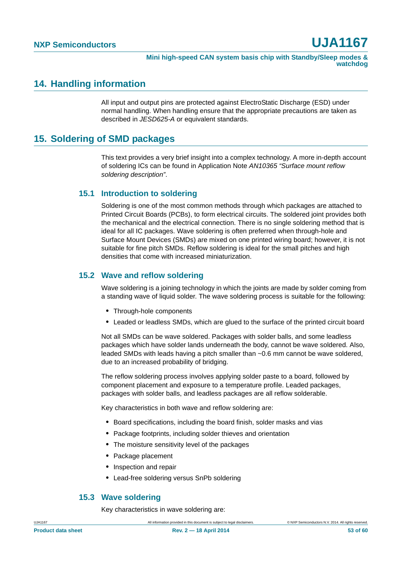### <span id="page-52-1"></span>**14. Handling information**

All input and output pins are protected against ElectroStatic Discharge (ESD) under normal handling. When handling ensure that the appropriate precautions are taken as described in *JESD625-A* or equivalent standards.

### <span id="page-52-0"></span>**15. Soldering of SMD packages**

This text provides a very brief insight into a complex technology. A more in-depth account of soldering ICs can be found in Application Note *AN10365 "Surface mount reflow soldering description"*.

### <span id="page-52-2"></span>**15.1 Introduction to soldering**

Soldering is one of the most common methods through which packages are attached to Printed Circuit Boards (PCBs), to form electrical circuits. The soldered joint provides both the mechanical and the electrical connection. There is no single soldering method that is ideal for all IC packages. Wave soldering is often preferred when through-hole and Surface Mount Devices (SMDs) are mixed on one printed wiring board; however, it is not suitable for fine pitch SMDs. Reflow soldering is ideal for the small pitches and high densities that come with increased miniaturization.

### <span id="page-52-3"></span>**15.2 Wave and reflow soldering**

Wave soldering is a joining technology in which the joints are made by solder coming from a standing wave of liquid solder. The wave soldering process is suitable for the following:

- **•** Through-hole components
- **•** Leaded or leadless SMDs, which are glued to the surface of the printed circuit board

Not all SMDs can be wave soldered. Packages with solder balls, and some leadless packages which have solder lands underneath the body, cannot be wave soldered. Also, leaded SMDs with leads having a pitch smaller than ~0.6 mm cannot be wave soldered, due to an increased probability of bridging.

The reflow soldering process involves applying solder paste to a board, followed by component placement and exposure to a temperature profile. Leaded packages, packages with solder balls, and leadless packages are all reflow solderable.

Key characteristics in both wave and reflow soldering are:

- **•** Board specifications, including the board finish, solder masks and vias
- **•** Package footprints, including solder thieves and orientation
- **•** The moisture sensitivity level of the packages
- **•** Package placement
- **•** Inspection and repair
- **•** Lead-free soldering versus SnPb soldering

#### <span id="page-52-4"></span>**15.3 Wave soldering**

Key characteristics in wave soldering are: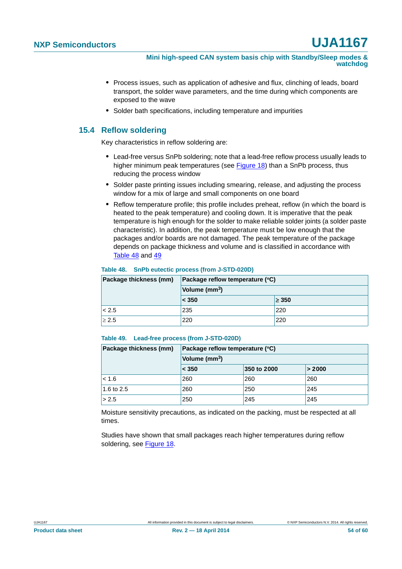**Mini high-speed CAN system basis chip with Standby/Sleep modes & watchdog**

- **•** Process issues, such as application of adhesive and flux, clinching of leads, board transport, the solder wave parameters, and the time during which components are exposed to the wave
- **•** Solder bath specifications, including temperature and impurities

### <span id="page-53-2"></span>**15.4 Reflow soldering**

Key characteristics in reflow soldering are:

- **•** Lead-free versus SnPb soldering; note that a lead-free reflow process usually leads to higher minimum peak temperatures (see [Figure 18\)](#page-54-0) than a SnPb process, thus reducing the process window
- **•** Solder paste printing issues including smearing, release, and adjusting the process window for a mix of large and small components on one board
- **•** Reflow temperature profile; this profile includes preheat, reflow (in which the board is heated to the peak temperature) and cooling down. It is imperative that the peak temperature is high enough for the solder to make reliable solder joints (a solder paste characteristic). In addition, the peak temperature must be low enough that the packages and/or boards are not damaged. The peak temperature of the package depends on package thickness and volume and is classified in accordance with [Table 48](#page-53-0) and [49](#page-53-1)

#### <span id="page-53-0"></span>**Table 48. SnPb eutectic process (from J-STD-020D)**

| Package thickness (mm) | Package reflow temperature (°C)<br>Volume (mm <sup>3</sup> ) |            |  |
|------------------------|--------------------------------------------------------------|------------|--|
|                        |                                                              |            |  |
|                        | < 350                                                        | $\geq 350$ |  |
| < 2.5                  | 235                                                          | 220        |  |
| $\geq 2.5$             | 220                                                          | 220        |  |

#### <span id="page-53-1"></span>**Table 49. Lead-free process (from J-STD-020D)**

| Package thickness (mm) | Package reflow temperature (°C) |             |        |  |  |
|------------------------|---------------------------------|-------------|--------|--|--|
|                        | Volume (mm <sup>3</sup> )       |             |        |  |  |
|                        | < 350                           | 350 to 2000 | > 2000 |  |  |
| $ $ < 1.6              | 260                             | 260         | 260    |  |  |
| 1.6 to 2.5             | 260                             | 250         | 245    |  |  |
| > 2.5                  | 250                             | 245         | 245    |  |  |

Moisture sensitivity precautions, as indicated on the packing, must be respected at all times.

Studies have shown that small packages reach higher temperatures during reflow soldering, see [Figure 18](#page-54-0).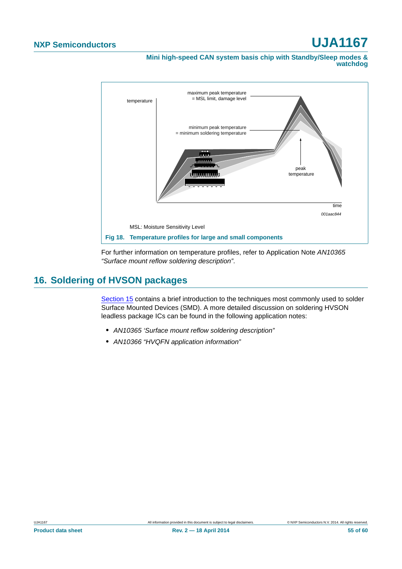**Mini high-speed CAN system basis chip with Standby/Sleep modes & watchdog**



<span id="page-54-0"></span>For further information on temperature profiles, refer to Application Note *AN10365 "Surface mount reflow soldering description"*.

### <span id="page-54-1"></span>**16. Soldering of HVSON packages**

[Section 15](#page-52-0) contains a brief introduction to the techniques most commonly used to solder Surface Mounted Devices (SMD). A more detailed discussion on soldering HVSON leadless package ICs can be found in the following application notes:

- **•** *AN10365 'Surface mount reflow soldering description"*
- **•** *AN10366 "HVQFN application information"*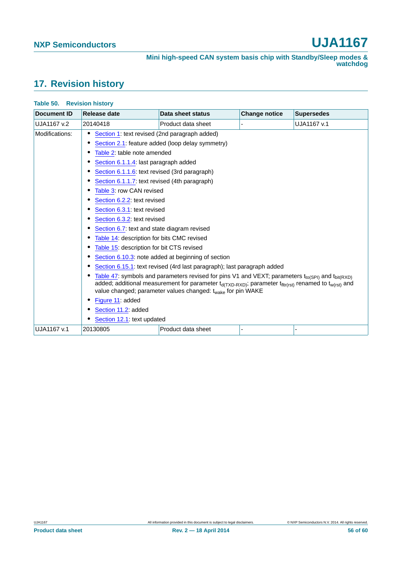### <span id="page-55-0"></span>**17. Revision history**

| <b>Document ID</b> | Release date                                                                                                                                                                                                                                                                                                  | Data sheet status  | <b>Change notice</b> | <b>Supersedes</b> |  |  |
|--------------------|---------------------------------------------------------------------------------------------------------------------------------------------------------------------------------------------------------------------------------------------------------------------------------------------------------------|--------------------|----------------------|-------------------|--|--|
| UJA1167 v.2        | 20140418                                                                                                                                                                                                                                                                                                      | Product data sheet |                      | UJA1167 v.1       |  |  |
| Modifications:     | Section 1: text revised (2nd paragraph added)                                                                                                                                                                                                                                                                 |                    |                      |                   |  |  |
|                    | Section 2.1: feature added (loop delay symmetry)                                                                                                                                                                                                                                                              |                    |                      |                   |  |  |
|                    | Table 2: table note amended                                                                                                                                                                                                                                                                                   |                    |                      |                   |  |  |
|                    | Section 6.1.1.4: last paragraph added                                                                                                                                                                                                                                                                         |                    |                      |                   |  |  |
|                    | Section 6.1.1.6: text revised (3rd paragraph)                                                                                                                                                                                                                                                                 |                    |                      |                   |  |  |
|                    | Section 6.1.1.7: text revised (4th paragraph)                                                                                                                                                                                                                                                                 |                    |                      |                   |  |  |
|                    | Table 3: row CAN revised                                                                                                                                                                                                                                                                                      |                    |                      |                   |  |  |
|                    | Section 6.2.2: text revised                                                                                                                                                                                                                                                                                   |                    |                      |                   |  |  |
|                    |                                                                                                                                                                                                                                                                                                               |                    |                      |                   |  |  |
|                    |                                                                                                                                                                                                                                                                                                               |                    |                      |                   |  |  |
|                    | Section 6.7: text and state diagram revised<br>Table 14: description for bits CMC revised                                                                                                                                                                                                                     |                    |                      |                   |  |  |
|                    |                                                                                                                                                                                                                                                                                                               |                    |                      |                   |  |  |
|                    | Table 15: description for bit CTS revised                                                                                                                                                                                                                                                                     |                    |                      |                   |  |  |
|                    | Section 6.10.3: note added at beginning of section                                                                                                                                                                                                                                                            |                    |                      |                   |  |  |
|                    | Section 6.15.1: text revised (4rd last paragraph); last paragraph added                                                                                                                                                                                                                                       |                    |                      |                   |  |  |
|                    | Table 47: symbols and parameters revised for pins V1 and VEXT; parameters $t_{to(SPI)}$ and $t_{bit(RXD)}$<br>added; additional measurement for parameter $t_{d(TXD-RXD)}$ ; parameter $t_{fitt(rst)}$ renamed to $t_{w(rst)}$ and<br>value changed; parameter values changed: t <sub>wake</sub> for pin WAKE |                    |                      |                   |  |  |
|                    | Figure 11: added                                                                                                                                                                                                                                                                                              |                    |                      |                   |  |  |
|                    | Section 11.2: added<br>Section 12.1: text updated                                                                                                                                                                                                                                                             |                    |                      |                   |  |  |
|                    |                                                                                                                                                                                                                                                                                                               |                    |                      |                   |  |  |
| UJA1167 v.1        | 20130805                                                                                                                                                                                                                                                                                                      | Product data sheet |                      |                   |  |  |

#### **Table 50. Revision history**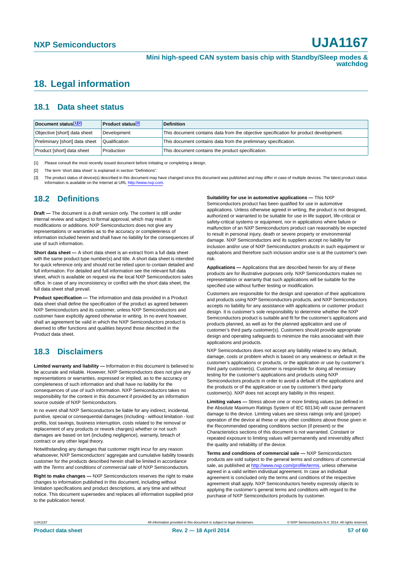### <span id="page-56-3"></span>**18. Legal information**

### <span id="page-56-4"></span>**18.1 Data sheet status**

| Document status[1][2]          | <b>Product status</b> <sup>[3]</sup> | <b>Definition</b>                                                                     |
|--------------------------------|--------------------------------------|---------------------------------------------------------------------------------------|
| Objective [short] data sheet   | Development                          | This document contains data from the objective specification for product development. |
| Preliminary [short] data sheet | Qualification                        | This document contains data from the preliminary specification.                       |
| Product [short] data sheet     | Production                           | This document contains the product specification.                                     |

<span id="page-56-0"></span>[1] Please consult the most recently issued document before initiating or completing a design.

<span id="page-56-1"></span>[2] The term 'short data sheet' is explained in section "Definitions".

<span id="page-56-2"></span>[3] The product status of device(s) described in this document may have changed since this document was published and may differ in case of multiple devices. The latest product status<br>information is available on the Intern

### <span id="page-56-5"></span>**18.2 Definitions**

**Draft —** The document is a draft version only. The content is still under internal review and subject to formal approval, which may result in modifications or additions. NXP Semiconductors does not give any representations or warranties as to the accuracy or completeness of information included herein and shall have no liability for the consequences of use of such information.

**Short data sheet —** A short data sheet is an extract from a full data sheet with the same product type number(s) and title. A short data sheet is intended for quick reference only and should not be relied upon to contain detailed and full information. For detailed and full information see the relevant full data sheet, which is available on request via the local NXP Semiconductors sales office. In case of any inconsistency or conflict with the short data sheet, the full data sheet shall prevail.

**Product specification —** The information and data provided in a Product data sheet shall define the specification of the product as agreed between NXP Semiconductors and its customer, unless NXP Semiconductors and customer have explicitly agreed otherwise in writing. In no event however, shall an agreement be valid in which the NXP Semiconductors product is deemed to offer functions and qualities beyond those described in the Product data sheet.

### <span id="page-56-6"></span>**18.3 Disclaimers**

**Limited warranty and liability —** Information in this document is believed to be accurate and reliable. However, NXP Semiconductors does not give any representations or warranties, expressed or implied, as to the accuracy or completeness of such information and shall have no liability for the consequences of use of such information. NXP Semiconductors takes no responsibility for the content in this document if provided by an information source outside of NXP Semiconductors.

In no event shall NXP Semiconductors be liable for any indirect, incidental, punitive, special or consequential damages (including - without limitation - lost profits, lost savings, business interruption, costs related to the removal or replacement of any products or rework charges) whether or not such damages are based on tort (including negligence), warranty, breach of contract or any other legal theory.

Notwithstanding any damages that customer might incur for any reason whatsoever, NXP Semiconductors' aggregate and cumulative liability towards customer for the products described herein shall be limited in accordance with the *Terms and conditions of commercial sale* of NXP Semiconductors.

**Right to make changes —** NXP Semiconductors reserves the right to make changes to information published in this document, including without limitation specifications and product descriptions, at any time and without notice. This document supersedes and replaces all information supplied prior to the publication hereof.

#### **Suitability for use in automotive applications —** This NXP

Semiconductors product has been qualified for use in automotive applications. Unless otherwise agreed in writing, the product is not designed, authorized or warranted to be suitable for use in life support, life-critical or safety-critical systems or equipment, nor in applications where failure or malfunction of an NXP Semiconductors product can reasonably be expected to result in personal injury, death or severe property or environmental damage. NXP Semiconductors and its suppliers accept no liability for inclusion and/or use of NXP Semiconductors products in such equipment or applications and therefore such inclusion and/or use is at the customer's own risk.

**Applications —** Applications that are described herein for any of these products are for illustrative purposes only. NXP Semiconductors makes no representation or warranty that such applications will be suitable for the specified use without further testing or modification.

Customers are responsible for the design and operation of their applications and products using NXP Semiconductors products, and NXP Semiconductors accepts no liability for any assistance with applications or customer product design. It is customer's sole responsibility to determine whether the NXP Semiconductors product is suitable and fit for the customer's applications and products planned, as well as for the planned application and use of customer's third party customer(s). Customers should provide appropriate design and operating safeguards to minimize the risks associated with their applications and products.

NXP Semiconductors does not accept any liability related to any default, damage, costs or problem which is based on any weakness or default in the customer's applications or products, or the application or use by customer's third party customer(s). Customer is responsible for doing all necessary testing for the customer's applications and products using NXP Semiconductors products in order to avoid a default of the applications and the products or of the application or use by customer's third party customer(s). NXP does not accept any liability in this respect.

**Limiting values —** Stress above one or more limiting values (as defined in the Absolute Maximum Ratings System of IEC 60134) will cause permanent damage to the device. Limiting values are stress ratings only and (proper) operation of the device at these or any other conditions above those given in the Recommended operating conditions section (if present) or the Characteristics sections of this document is not warranted. Constant or repeated exposure to limiting values will permanently and irreversibly affect the quality and reliability of the device.

**Terms and conditions of commercial sale —** NXP Semiconductors products are sold subject to the general terms and conditions of commercial sale, as published at<http://www.nxp.com/profile/terms>, unless otherwise agreed in a valid written individual agreement. In case an individual agreement is concluded only the terms and conditions of the respective agreement shall apply. NXP Semiconductors hereby expressly objects to applying the customer's general terms and conditions with regard to the purchase of NXP Semiconductors products by customer.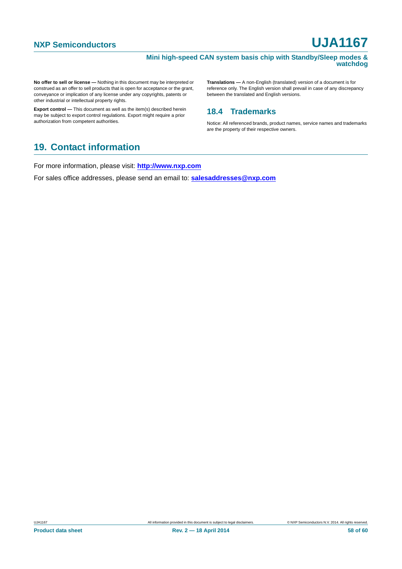#### **Mini high-speed CAN system basis chip with Standby/Sleep modes & watchdog**

**No offer to sell or license —** Nothing in this document may be interpreted or construed as an offer to sell products that is open for acceptance or the grant, conveyance or implication of any license under any copyrights, patents or other industrial or intellectual property rights.

**Export control —** This document as well as the item(s) described herein may be subject to export control regulations. Export might require a prior authorization from competent authorities.

**Translations —** A non-English (translated) version of a document is for reference only. The English version shall prevail in case of any discrepancy between the translated and English versions.

### <span id="page-57-0"></span>**18.4 Trademarks**

Notice: All referenced brands, product names, service names and trademarks are the property of their respective owners.

### <span id="page-57-1"></span>**19. Contact information**

For more information, please visit: **http://www.nxp.com**

For sales office addresses, please send an email to: **salesaddresses@nxp.com**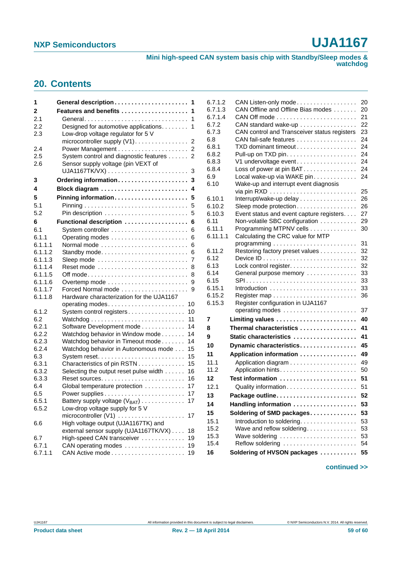**Mini high-speed CAN system basis chip with Standby/Sleep modes & watchdog**

### <span id="page-58-0"></span>**20. Contents**

| 1       | General description<br>1                                                  |
|---------|---------------------------------------------------------------------------|
| 2       | Features and benefits<br>1                                                |
| 2.1     | 1<br>General                                                              |
| 2.2     | Designed for automotive applications.<br>1                                |
| 2.3     | Low-drop voltage regulator for 5 V                                        |
|         | microcontroller supply (V1)<br>2                                          |
| 2.4     |                                                                           |
| 2.5     | System control and diagnostic features<br>2                               |
| 2.6     | Sensor supply voltage (pin VEXT of                                        |
|         | 3                                                                         |
| 3       | Ordering information<br>3                                                 |
| 4       | 4                                                                         |
| 5       | Pinning information<br>5                                                  |
| 5.1     | 5                                                                         |
| 5.2     | 5                                                                         |
| 6       | Functional description<br>6                                               |
| 6.1     | 6                                                                         |
| 6.1.1   | 6                                                                         |
| 6.1.1.1 | Normal mode<br>6                                                          |
| 6.1.1.2 | Standby mode<br>6                                                         |
| 6.1.1.3 | Sleep mode $\ldots \ldots \ldots \ldots \ldots \ldots \ldots \ldots$<br>7 |
| 6.1.1.4 | Reset mode<br>8                                                           |
| 6.1.1.5 | 8                                                                         |
| 6.1.1.6 | Overtemp mode<br>9                                                        |
| 6.1.1.7 | Forced Normal mode<br>9                                                   |
| 6.1.1.8 | Hardware characterization for the UJA1167                                 |
|         | operating modes<br>10                                                     |
| 6.1.2   | System control registers<br>10                                            |
| 6.2     | 11                                                                        |
| 6.2.1   | Software Development mode<br>14                                           |
| 6.2.2   | Watchdog behavior in Window mode<br>14                                    |
| 6.2.3   | Watchdog behavior in Timeout mode<br>14                                   |
| 6.2.4   | Watchdog behavior in Autonomous mode<br>15                                |
| 6.3     | 15                                                                        |
| 6.3.1   | Characteristics of pin RSTN<br>15                                         |
| 6.3.2   | Selecting the output reset pulse width<br>16                              |
| 6.3.3   | 16                                                                        |
| 6.4     | Global temperature protection<br>17                                       |
| 6.5     | 17                                                                        |
| 6.5.1   | Battery supply voltage $(V_{BAT})$<br>17                                  |
| 6.5.2   | Low-drop voltage supply for 5 V                                           |
|         | microcontroller $(V1)$<br>17                                              |
| 6.6     | High voltage output (UJA1167TK) and                                       |
|         | external sensor supply (UJA1167TK/VX)<br>18                               |
| 6.7     | High-speed CAN transceiver<br>19                                          |
| 6.7.1   | CAN operating modes<br>19                                                 |
| 6.7.1.1 | 19                                                                        |
|         |                                                                           |

| 6.7.1.2      | CAN Listen-only mode                                                | 20       |
|--------------|---------------------------------------------------------------------|----------|
| 6.7.1.3      | CAN Offline and Offline Bias modes                                  | 20       |
| 6.7.1.4      |                                                                     | 21       |
| 6.7.2        | CAN standard wake-up                                                | 22       |
| 6.7.3        | CAN control and Transceiver status registers                        | 23       |
| 6.8          | CAN fail-safe features                                              | 24       |
| 6.8.1        | TXD dominant timeout                                                | 24       |
| 6.8.2        |                                                                     | 24       |
| 6.8.3        | V1 undervoltage event                                               | 24<br>24 |
| 6.8.4<br>6.9 | Loss of power at pin BAT                                            | 24       |
| 6.10         | Local wake-up via WAKE pin<br>Wake-up and interrupt event diagnosis |          |
|              |                                                                     | 25       |
| 6.10.1       | Interrupt/wake-up delay                                             | 26       |
| 6.10.2       | Sleep mode protection                                               | 26       |
| 6.10.3       | Event status and event capture registers.                           | 27       |
| 6.11         | Non-volatile SBC configuration                                      | 29       |
| 6.11.1       | Programming MTPNV cells                                             | 30       |
| 6.11.1.1     | Calculating the CRC value for MTP                                   |          |
|              |                                                                     | 31       |
| 6.11.2       | Restoring factory preset values                                     | 32       |
| 6.12         |                                                                     | 32       |
| 6.13         |                                                                     | 32       |
| 6.14         | General purpose memory                                              | 33       |
| 6.15         | SPI                                                                 | 33       |
| 6.15.1       | Introduction                                                        | 33       |
| 6.15.2       |                                                                     | 36       |
| 6.15.3       | Register configuration in UJA1167                                   |          |
|              |                                                                     | 37       |
| 7            | Limiting values                                                     | 40       |
| 8            | Thermal characteristics                                             | 41       |
| 9            | Static characteristics                                              | 41       |
| 10           | Dynamic characteristics                                             | 45       |
| 11           | Application information                                             | 49       |
| 11.1         |                                                                     | 49       |
| 11.2         | Application hints                                                   | 50       |
| 12           | Test information                                                    | 51       |
| 12.1         | Quality information                                                 | 51       |
| 13           | Package outline.<br>. <b>.</b> .                                    | 52       |
| 14           | Handling information                                                | 53       |
| 15           | Soldering of SMD packages                                           | 53       |
| 15.1         |                                                                     |          |
| 15.2         | Introduction to soldering.<br>Wave and reflow soldering.            | 53       |
| 15.3         | Wave soldering                                                      | 53<br>53 |
| 15.4         | Reflow soldering                                                    | 54       |
| 16           | Soldering of HVSON packages                                         | 55       |
|              |                                                                     |          |

#### **continued >>**